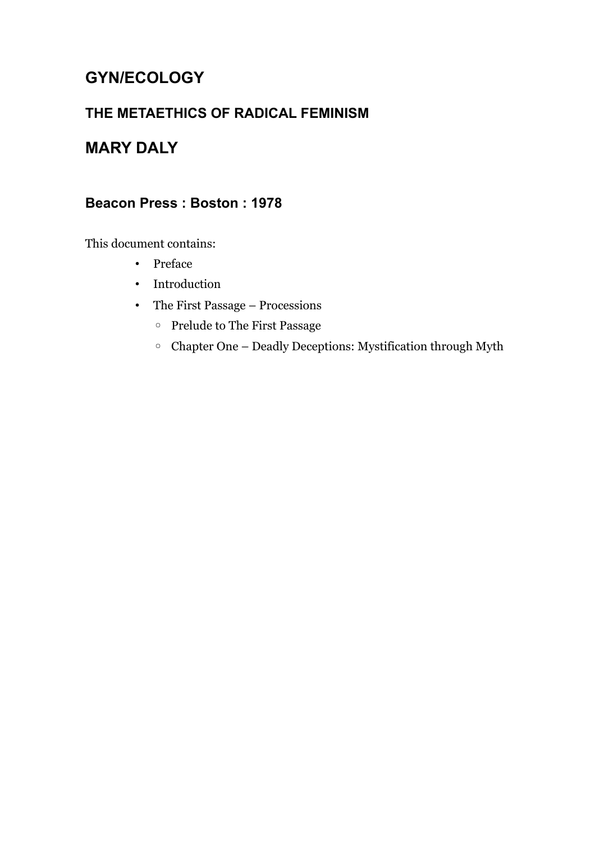# **GYN/ECOLOGY**

## **THE METAETHICS OF RADICAL FEMINISM**

# **MARY DALY**

## **Beacon Press : Boston : 1978**

This document contains:

- Preface
- Introduction
- The First Passage Processions
	- Prelude to The First Passage
	- Chapter One Deadly Deceptions: Mystification through Myth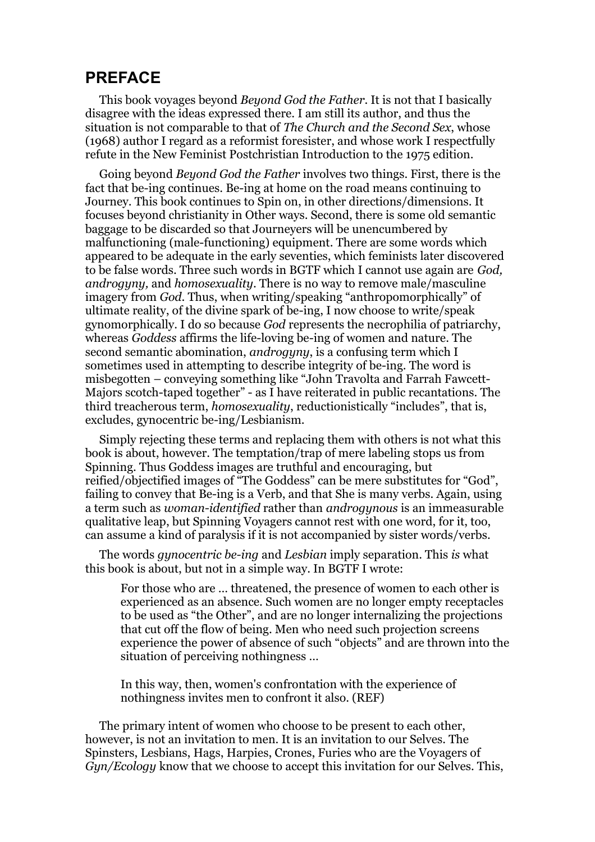## **PREFACE**

This book voyages beyond *Beyond God the Father*. It is not that I basically disagree with the ideas expressed there. I am still its author, and thus the situation is not comparable to that of *The Church and the Second Sex*, whose (1968) author I regard as a reformist foresister, and whose work I respectfully refute in the New Feminist Postchristian Introduction to the 1975 edition.

Going beyond *Beyond God the Father* involves two things. First, there is the fact that be-ing continues. Be-ing at home on the road means continuing to Journey. This book continues to Spin on, in other directions/dimensions. It focuses beyond christianity in Other ways. Second, there is some old semantic baggage to be discarded so that Journeyers will be unencumbered by malfunctioning (male-functioning) equipment. There are some words which appeared to be adequate in the early seventies, which feminists later discovered to be false words. Three such words in BGTF which I cannot use again are *God, androgyny,* and *homosexuality*. There is no way to remove male/masculine imagery from *God*. Thus, when writing/speaking "anthropomorphically" of ultimate reality, of the divine spark of be-ing, I now choose to write/speak gynomorphically. I do so because *God* represents the necrophilia of patriarchy, whereas *Goddess* affirms the life-loving be-ing of women and nature. The second semantic abomination, *androgyny*, is a confusing term which I sometimes used in attempting to describe integrity of be-ing. The word is misbegotten – conveying something like "John Travolta and Farrah Fawcett-Majors scotch-taped together" - as I have reiterated in public recantations. The third treacherous term, *homosexuality*, reductionistically "includes", that is, excludes, gynocentric be-ing/Lesbianism.

Simply rejecting these terms and replacing them with others is not what this book is about, however. The temptation/trap of mere labeling stops us from Spinning. Thus Goddess images are truthful and encouraging, but reified/objectified images of "The Goddess" can be mere substitutes for "God", failing to convey that Be-ing is a Verb, and that She is many verbs. Again, using a term such as *woman-identified* rather than *androgynous* is an immeasurable qualitative leap, but Spinning Voyagers cannot rest with one word, for it, too, can assume a kind of paralysis if it is not accompanied by sister words/verbs.

The words *gynocentric be-ing* and *Lesbian* imply separation. This *is* what this book is about, but not in a simple way. In BGTF I wrote:

For those who are … threatened, the presence of women to each other is experienced as an absence. Such women are no longer empty receptacles to be used as "the Other", and are no longer internalizing the projections that cut off the flow of being. Men who need such projection screens experience the power of absence of such "objects" and are thrown into the situation of perceiving nothingness …

In this way, then, women's confrontation with the experience of nothingness invites men to confront it also. (REF)

The primary intent of women who choose to be present to each other, however, is not an invitation to men. It is an invitation to our Selves. The Spinsters, Lesbians, Hags, Harpies, Crones, Furies who are the Voyagers of *Gyn/Ecology* know that we choose to accept this invitation for our Selves. This,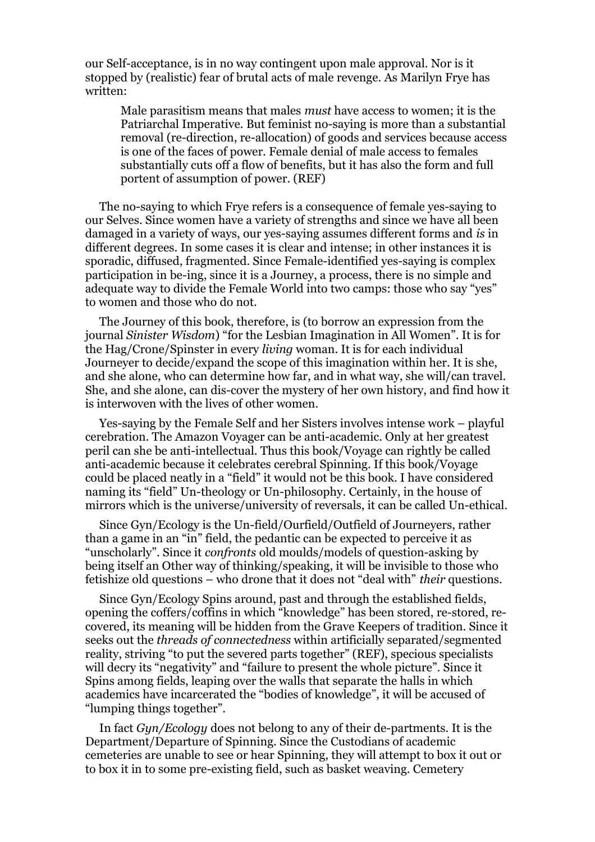our Self-acceptance, is in no way contingent upon male approval. Nor is it stopped by (realistic) fear of brutal acts of male revenge. As Marilyn Frye has written:

Male parasitism means that males *must* have access to women; it is the Patriarchal Imperative. But feminist no-saying is more than a substantial removal (re-direction, re-allocation) of goods and services because access is one of the faces of power. Female denial of male access to females substantially cuts off a flow of benefits, but it has also the form and full portent of assumption of power. (REF)

The no-saying to which Frye refers is a consequence of female yes-saying to our Selves. Since women have a variety of strengths and since we have all been damaged in a variety of ways, our yes-saying assumes different forms and *is* in different degrees. In some cases it is clear and intense; in other instances it is sporadic, diffused, fragmented. Since Female-identified yes-saying is complex participation in be-ing, since it is a Journey, a process, there is no simple and adequate way to divide the Female World into two camps: those who say "yes" to women and those who do not.

The Journey of this book, therefore, is (to borrow an expression from the journal *Sinister Wisdom*) "for the Lesbian Imagination in All Women". It is for the Hag/Crone/Spinster in every *living* woman. It is for each individual Journeyer to decide/expand the scope of this imagination within her. It is she, and she alone, who can determine how far, and in what way, she will/can travel. She, and she alone, can dis-cover the mystery of her own history, and find how it is interwoven with the lives of other women.

Yes-saying by the Female Self and her Sisters involves intense work – playful cerebration. The Amazon Voyager can be anti-academic. Only at her greatest peril can she be anti-intellectual. Thus this book/Voyage can rightly be called anti-academic because it celebrates cerebral Spinning. If this book/Voyage could be placed neatly in a "field" it would not be this book. I have considered naming its "field" Un-theology or Un-philosophy. Certainly, in the house of mirrors which is the universe/university of reversals, it can be called Un-ethical.

Since Gyn/Ecology is the Un-field/Ourfield/Outfield of Journeyers, rather than a game in an "in" field, the pedantic can be expected to perceive it as "unscholarly". Since it *confronts* old moulds/models of question-asking by being itself an Other way of thinking/speaking, it will be invisible to those who fetishize old questions – who drone that it does not "deal with" *their* questions.

Since Gyn/Ecology Spins around, past and through the established fields, opening the coffers/coffins in which "knowledge" has been stored, re-stored, recovered, its meaning will be hidden from the Grave Keepers of tradition. Since it seeks out the *threads of connectedness* within artificially separated/segmented reality, striving "to put the severed parts together" (REF), specious specialists will decry its "negativity" and "failure to present the whole picture". Since it Spins among fields, leaping over the walls that separate the halls in which academics have incarcerated the "bodies of knowledge", it will be accused of "lumping things together".

In fact *Gyn/Ecology* does not belong to any of their de-partments. It is the Department/Departure of Spinning. Since the Custodians of academic cemeteries are unable to see or hear Spinning, they will attempt to box it out or to box it in to some pre-existing field, such as basket weaving. Cemetery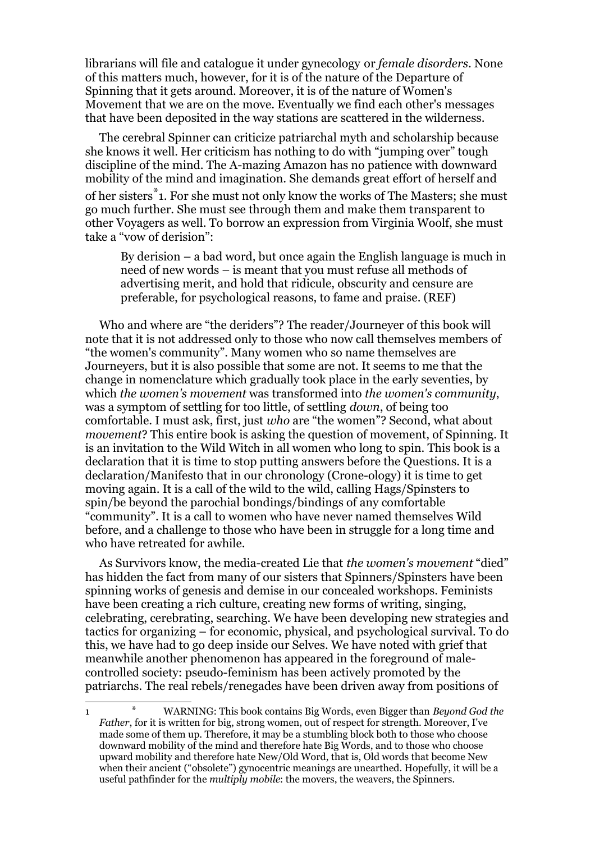librarians will file and catalogue it under gynecology or *female disorders*. None of this matters much, however, for it is of the nature of the Departure of Spinning that it gets around. Moreover, it is of the nature of Women's Movement that we are on the move. Eventually we find each other's messages that have been deposited in the way stations are scattered in the wilderness.

The cerebral Spinner can criticize patriarchal myth and scholarship because she knows it well. Her criticism has nothing to do with "jumping over" tough discipline of the mind. The A-mazing Amazon has no patience with downward mobility of the mind and imagination. She demands great effort of herself and of her sisters[\\*1.](#page-3-0) For she must not only know the works of The Masters; she must go much further. She must see through them and make them transparent to other Voyagers as well. To borrow an expression from Virginia Woolf, she must take a "vow of derision":

By derision – a bad word, but once again the English language is much in need of new words – is meant that you must refuse all methods of advertising merit, and hold that ridicule, obscurity and censure are preferable, for psychological reasons, to fame and praise. (REF)

Who and where are "the deriders"? The reader/Journeyer of this book will note that it is not addressed only to those who now call themselves members of "the women's community". Many women who so name themselves are Journeyers, but it is also possible that some are not. It seems to me that the change in nomenclature which gradually took place in the early seventies, by which *the women's movement* was transformed into *the women's community*, was a symptom of settling for too little, of settling *down*, of being too comfortable. I must ask, first, just *who* are "the women"? Second, what about *movement*? This entire book is asking the question of movement, of Spinning. It is an invitation to the Wild Witch in all women who long to spin. This book is a declaration that it is time to stop putting answers before the Questions. It is a declaration/Manifesto that in our chronology (Crone-ology) it is time to get moving again. It is a call of the wild to the wild, calling Hags/Spinsters to spin/be beyond the parochial bondings/bindings of any comfortable "community". It is a call to women who have never named themselves Wild before, and a challenge to those who have been in struggle for a long time and who have retreated for awhile.

As Survivors know, the media-created Lie that *the women's movement* "died" has hidden the fact from many of our sisters that Spinners/Spinsters have been spinning works of genesis and demise in our concealed workshops. Feminists have been creating a rich culture, creating new forms of writing, singing, celebrating, cerebrating, searching. We have been developing new strategies and tactics for organizing – for economic, physical, and psychological survival. To do this, we have had to go deep inside our Selves. We have noted with grief that meanwhile another phenomenon has appeared in the foreground of malecontrolled society: pseudo-feminism has been actively promoted by the patriarchs. The real rebels/renegades have been driven away from positions of

<span id="page-3-0"></span><sup>1</sup> \* WARNING: This book contains Big Words, even Bigger than *Beyond God the Father*, for it is written for big, strong women, out of respect for strength. Moreover, I've made some of them up. Therefore, it may be a stumbling block both to those who choose downward mobility of the mind and therefore hate Big Words, and to those who choose upward mobility and therefore hate New/Old Word, that is, Old words that become New when their ancient ("obsolete") gynocentric meanings are unearthed. Hopefully, it will be a useful pathfinder for the *multiply mobile*: the movers, the weavers, the Spinners.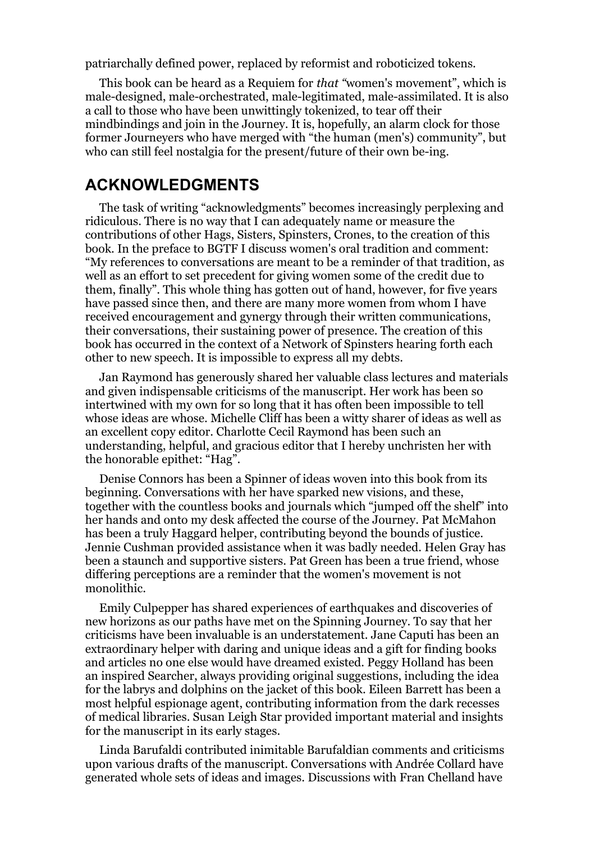patriarchally defined power, replaced by reformist and roboticized tokens.

This book can be heard as a Requiem for *that "*women's movement", which is male-designed, male-orchestrated, male-legitimated, male-assimilated. It is also a call to those who have been unwittingly tokenized, to tear off their mindbindings and join in the Journey. It is, hopefully, an alarm clock for those former Journeyers who have merged with "the human (men's) community", but who can still feel nostalgia for the present/future of their own be-ing.

## **ACKNOWLEDGMENTS**

The task of writing "acknowledgments" becomes increasingly perplexing and ridiculous. There is no way that I can adequately name or measure the contributions of other Hags, Sisters, Spinsters, Crones, to the creation of this book. In the preface to BGTF I discuss women's oral tradition and comment: "My references to conversations are meant to be a reminder of that tradition, as well as an effort to set precedent for giving women some of the credit due to them, finally". This whole thing has gotten out of hand, however, for five years have passed since then, and there are many more women from whom I have received encouragement and gynergy through their written communications, their conversations, their sustaining power of presence. The creation of this book has occurred in the context of a Network of Spinsters hearing forth each other to new speech. It is impossible to express all my debts.

Jan Raymond has generously shared her valuable class lectures and materials and given indispensable criticisms of the manuscript. Her work has been so intertwined with my own for so long that it has often been impossible to tell whose ideas are whose. Michelle Cliff has been a witty sharer of ideas as well as an excellent copy editor. Charlotte Cecil Raymond has been such an understanding, helpful, and gracious editor that I hereby unchristen her with the honorable epithet: "Hag".

Denise Connors has been a Spinner of ideas woven into this book from its beginning. Conversations with her have sparked new visions, and these, together with the countless books and journals which "jumped off the shelf" into her hands and onto my desk affected the course of the Journey. Pat McMahon has been a truly Haggard helper, contributing beyond the bounds of justice. Jennie Cushman provided assistance when it was badly needed. Helen Gray has been a staunch and supportive sisters. Pat Green has been a true friend, whose differing perceptions are a reminder that the women's movement is not monolithic.

Emily Culpepper has shared experiences of earthquakes and discoveries of new horizons as our paths have met on the Spinning Journey. To say that her criticisms have been invaluable is an understatement. Jane Caputi has been an extraordinary helper with daring and unique ideas and a gift for finding books and articles no one else would have dreamed existed. Peggy Holland has been an inspired Searcher, always providing original suggestions, including the idea for the labrys and dolphins on the jacket of this book. Eileen Barrett has been a most helpful espionage agent, contributing information from the dark recesses of medical libraries. Susan Leigh Star provided important material and insights for the manuscript in its early stages.

Linda Barufaldi contributed inimitable Barufaldian comments and criticisms upon various drafts of the manuscript. Conversations with Andrée Collard have generated whole sets of ideas and images. Discussions with Fran Chelland have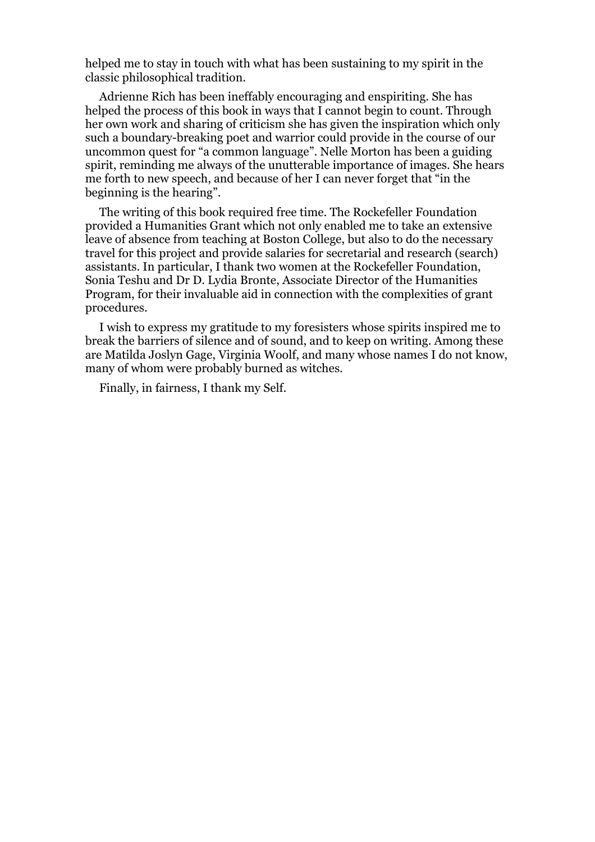helped me to stay in touch with what has been sustaining to my spirit in the classic philosophical tradition.

Adrienne Rich has been ineffably encouraging and enspiriting. She has helped the process of this book in ways that I cannot begin to count. Through her own work and sharing of criticism she has given the inspiration which only such a boundary-breaking poet and warrior could provide in the course of our uncommon quest for "a common language". Nelle Morton has been a guiding spirit, reminding me always of the unutterable importance of images. She hears me forth to new speech, and because of her I can never forget that "in the beginning is the hearing".

The writing of this book required free time. The Rockefeller Foundation provided a Humanities Grant which not only enabled me to take an extensive leave of absence from teaching at Boston College, but also to do the necessary travel for this project and provide salaries for secretarial and research (search) assistants. In particular, I thank two women at the Rockefeller Foundation, Sonia Teshu and Dr D. Lydia Bronte, Associate Director of the Humanities Program, for their invaluable aid in connection with the complexities of grant procedures.

I wish to express my gratitude to my foresisters whose spirits inspired me to break the barriers of silence and of sound, and to keep on writing. Among these are Matilda Joslyn Gage, Virginia Woolf, and many whose names I do not know, many of whom were probably burned as witches.

Finally, in fairness, I thank my Self.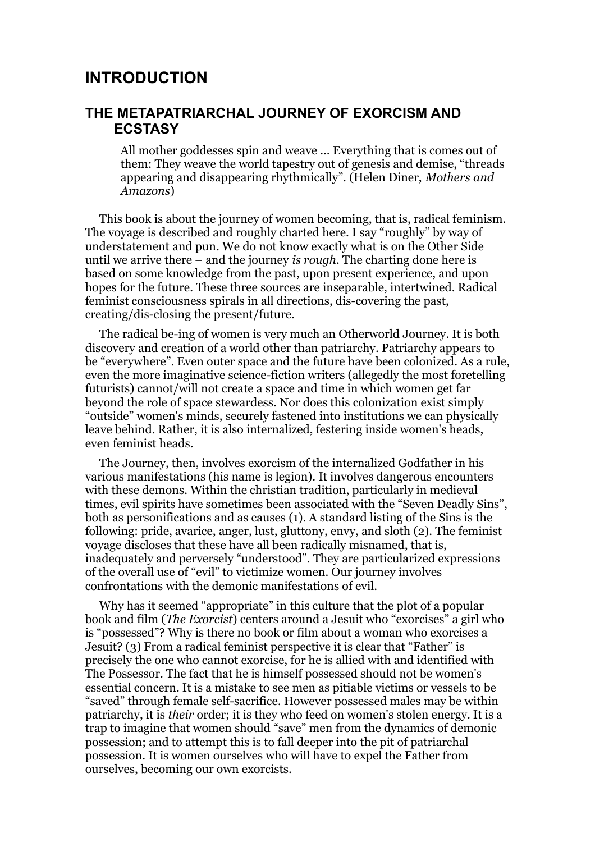## **INTRODUCTION**

## **THE METAPATRIARCHAL JOURNEY OF EXORCISM AND ECSTASY**

All mother goddesses spin and weave … Everything that is comes out of them: They weave the world tapestry out of genesis and demise, "threads appearing and disappearing rhythmically". (Helen Diner, *Mothers and Amazons*)

This book is about the journey of women becoming, that is, radical feminism. The voyage is described and roughly charted here. I say "roughly" by way of understatement and pun. We do not know exactly what is on the Other Side until we arrive there – and the journey *is rough*. The charting done here is based on some knowledge from the past, upon present experience, and upon hopes for the future. These three sources are inseparable, intertwined. Radical feminist consciousness spirals in all directions, dis-covering the past, creating/dis-closing the present/future.

The radical be-ing of women is very much an Otherworld Journey. It is both discovery and creation of a world other than patriarchy. Patriarchy appears to be "everywhere". Even outer space and the future have been colonized. As a rule, even the more imaginative science-fiction writers (allegedly the most foretelling futurists) cannot/will not create a space and time in which women get far beyond the role of space stewardess. Nor does this colonization exist simply "outside" women's minds, securely fastened into institutions we can physically leave behind. Rather, it is also internalized, festering inside women's heads, even feminist heads.

The Journey, then, involves exorcism of the internalized Godfather in his various manifestations (his name is legion). It involves dangerous encounters with these demons. Within the christian tradition, particularly in medieval times, evil spirits have sometimes been associated with the "Seven Deadly Sins", both as personifications and as causes (1). A standard listing of the Sins is the following: pride, avarice, anger, lust, gluttony, envy, and sloth (2). The feminist voyage discloses that these have all been radically misnamed, that is, inadequately and perversely "understood". They are particularized expressions of the overall use of "evil" to victimize women. Our journey involves confrontations with the demonic manifestations of evil.

Why has it seemed "appropriate" in this culture that the plot of a popular book and film (*The Exorcist*) centers around a Jesuit who "exorcises" a girl who is "possessed"? Why is there no book or film about a woman who exorcises a Jesuit? (3) From a radical feminist perspective it is clear that "Father" is precisely the one who cannot exorcise, for he is allied with and identified with The Possessor. The fact that he is himself possessed should not be women's essential concern. It is a mistake to see men as pitiable victims or vessels to be "saved" through female self-sacrifice. However possessed males may be within patriarchy, it is *their* order; it is they who feed on women's stolen energy. It is a trap to imagine that women should "save" men from the dynamics of demonic possession; and to attempt this is to fall deeper into the pit of patriarchal possession. It is women ourselves who will have to expel the Father from ourselves, becoming our own exorcists.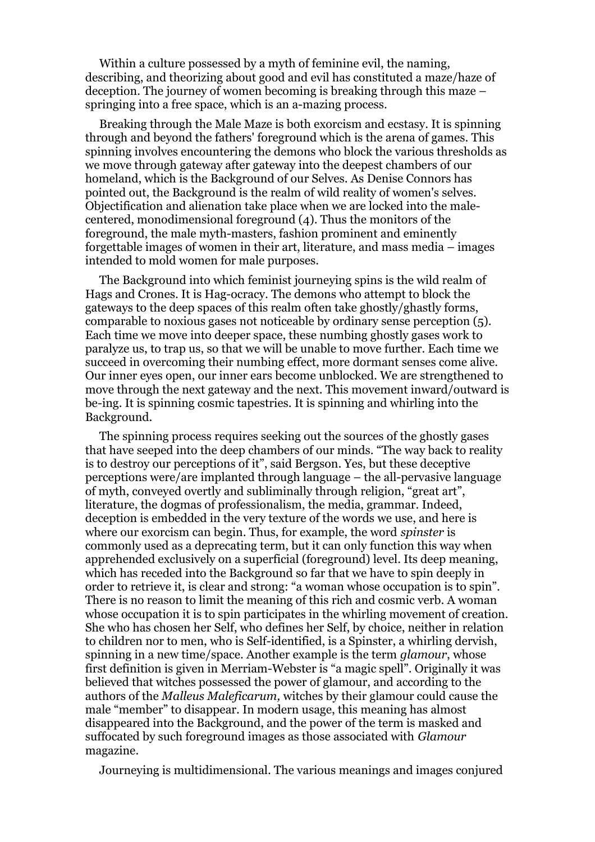Within a culture possessed by a myth of feminine evil, the naming, describing, and theorizing about good and evil has constituted a maze/haze of deception. The journey of women becoming is breaking through this maze – springing into a free space, which is an a-mazing process.

Breaking through the Male Maze is both exorcism and ecstasy. It is spinning through and beyond the fathers' foreground which is the arena of games. This spinning involves encountering the demons who block the various thresholds as we move through gateway after gateway into the deepest chambers of our homeland, which is the Background of our Selves. As Denise Connors has pointed out, the Background is the realm of wild reality of women's selves. Objectification and alienation take place when we are locked into the malecentered, monodimensional foreground (4). Thus the monitors of the foreground, the male myth-masters, fashion prominent and eminently forgettable images of women in their art, literature, and mass media – images intended to mold women for male purposes.

The Background into which feminist journeying spins is the wild realm of Hags and Crones. It is Hag-ocracy. The demons who attempt to block the gateways to the deep spaces of this realm often take ghostly/ghastly forms, comparable to noxious gases not noticeable by ordinary sense perception (5). Each time we move into deeper space, these numbing ghostly gases work to paralyze us, to trap us, so that we will be unable to move further. Each time we succeed in overcoming their numbing effect, more dormant senses come alive. Our inner eyes open, our inner ears become unblocked. We are strengthened to move through the next gateway and the next. This movement inward/outward is be-ing. It is spinning cosmic tapestries. It is spinning and whirling into the Background.

The spinning process requires seeking out the sources of the ghostly gases that have seeped into the deep chambers of our minds. "The way back to reality is to destroy our perceptions of it", said Bergson. Yes, but these deceptive perceptions were/are implanted through language – the all-pervasive language of myth, conveyed overtly and subliminally through religion, "great art", literature, the dogmas of professionalism, the media, grammar. Indeed, deception is embedded in the very texture of the words we use, and here is where our exorcism can begin. Thus, for example, the word *spinster* is commonly used as a deprecating term, but it can only function this way when apprehended exclusively on a superficial (foreground) level. Its deep meaning, which has receded into the Background so far that we have to spin deeply in order to retrieve it, is clear and strong: "a woman whose occupation is to spin". There is no reason to limit the meaning of this rich and cosmic verb. A woman whose occupation it is to spin participates in the whirling movement of creation. She who has chosen her Self, who defines her Self, by choice, neither in relation to children nor to men, who is Self-identified, is a Spinster, a whirling dervish, spinning in a new time/space. Another example is the term *glamour*, whose first definition is given in Merriam-Webster is "a magic spell". Originally it was believed that witches possessed the power of glamour, and according to the authors of the *Malleus Maleficarum,* witches by their glamour could cause the male "member" to disappear. In modern usage, this meaning has almost disappeared into the Background, and the power of the term is masked and suffocated by such foreground images as those associated with *Glamour*  magazine.

Journeying is multidimensional. The various meanings and images conjured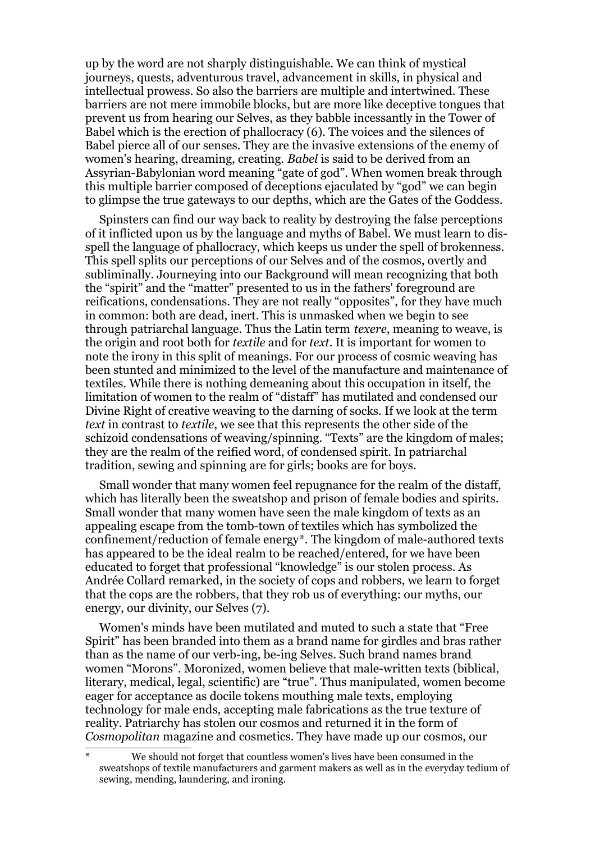up by the word are not sharply distinguishable. We can think of mystical journeys, quests, adventurous travel, advancement in skills, in physical and intellectual prowess. So also the barriers are multiple and intertwined. These barriers are not mere immobile blocks, but are more like deceptive tongues that prevent us from hearing our Selves, as they babble incessantly in the Tower of Babel which is the erection of phallocracy (6). The voices and the silences of Babel pierce all of our senses. They are the invasive extensions of the enemy of women's hearing, dreaming, creating. *Babel* is said to be derived from an Assyrian-Babylonian word meaning "gate of god". When women break through this multiple barrier composed of deceptions ejaculated by "god" we can begin to glimpse the true gateways to our depths, which are the Gates of the Goddess.

Spinsters can find our way back to reality by destroying the false perceptions of it inflicted upon us by the language and myths of Babel. We must learn to disspell the language of phallocracy, which keeps us under the spell of brokenness. This spell splits our perceptions of our Selves and of the cosmos, overtly and subliminally. Journeying into our Background will mean recognizing that both the "spirit" and the "matter" presented to us in the fathers' foreground are reifications, condensations. They are not really "opposites", for they have much in common: both are dead, inert. This is unmasked when we begin to see through patriarchal language. Thus the Latin term *texere*, meaning to weave, is the origin and root both for *textile* and for *text*. It is important for women to note the irony in this split of meanings. For our process of cosmic weaving has been stunted and minimized to the level of the manufacture and maintenance of textiles. While there is nothing demeaning about this occupation in itself, the limitation of women to the realm of "distaff" has mutilated and condensed our Divine Right of creative weaving to the darning of socks. If we look at the term *text* in contrast to *textile*, we see that this represents the other side of the schizoid condensations of weaving/spinning. "Texts" are the kingdom of males; they are the realm of the reified word, of condensed spirit. In patriarchal tradition, sewing and spinning are for girls; books are for boys.

Small wonder that many women feel repugnance for the realm of the distaff, which has literally been the sweatshop and prison of female bodies and spirits. Small wonder that many women have seen the male kingdom of texts as an appealing escape from the tomb-town of textiles which has symbolized the confinement/reduction of female energ[y\\*.](#page-8-0) The kingdom of male-authored texts has appeared to be the ideal realm to be reached/entered, for we have been educated to forget that professional "knowledge" is our stolen process. As Andrée Collard remarked, in the society of cops and robbers, we learn to forget that the cops are the robbers, that they rob us of everything: our myths, our energy, our divinity, our Selves (7).

Women's minds have been mutilated and muted to such a state that "Free Spirit" has been branded into them as a brand name for girdles and bras rather than as the name of our verb-ing, be-ing Selves. Such brand names brand women "Morons". Moronized, women believe that male-written texts (biblical, literary, medical, legal, scientific) are "true". Thus manipulated, women become eager for acceptance as docile tokens mouthing male texts, employing technology for male ends, accepting male fabrications as the true texture of reality. Patriarchy has stolen our cosmos and returned it in the form of *Cosmopolitan* magazine and cosmetics. They have made up our cosmos, our

<span id="page-8-0"></span>We should not forget that countless women's lives have been consumed in the sweatshops of textile manufacturers and garment makers as well as in the everyday tedium of sewing, mending, laundering, and ironing.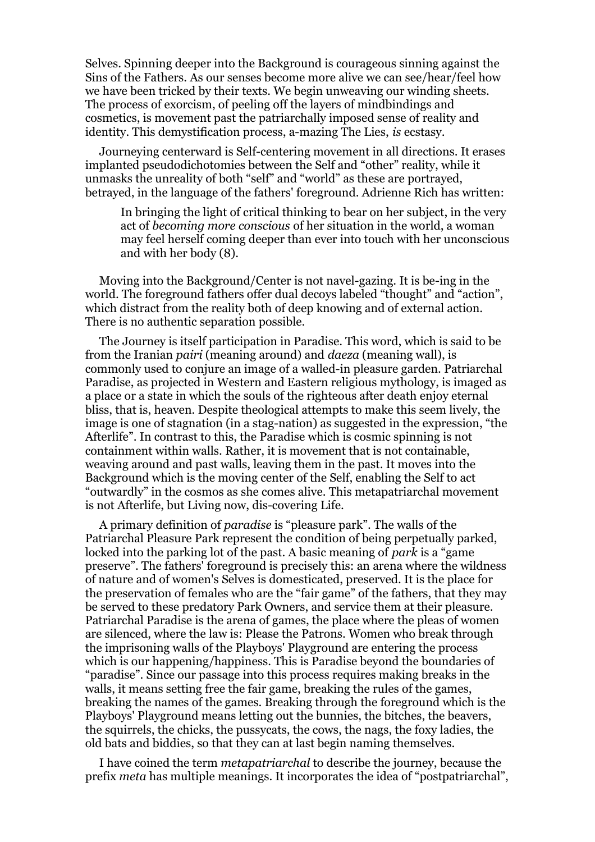Selves. Spinning deeper into the Background is courageous sinning against the Sins of the Fathers. As our senses become more alive we can see/hear/feel how we have been tricked by their texts. We begin unweaving our winding sheets. The process of exorcism, of peeling off the layers of mindbindings and cosmetics, is movement past the patriarchally imposed sense of reality and identity. This demystification process, a-mazing The Lies, *is* ecstasy.

Journeying centerward is Self-centering movement in all directions. It erases implanted pseudodichotomies between the Self and "other" reality, while it unmasks the unreality of both "self" and "world" as these are portrayed, betrayed, in the language of the fathers' foreground. Adrienne Rich has written:

In bringing the light of critical thinking to bear on her subject, in the very act of *becoming more conscious* of her situation in the world, a woman may feel herself coming deeper than ever into touch with her unconscious and with her body (8).

Moving into the Background/Center is not navel-gazing. It is be-ing in the world. The foreground fathers offer dual decoys labeled "thought" and "action", which distract from the reality both of deep knowing and of external action. There is no authentic separation possible.

The Journey is itself participation in Paradise. This word, which is said to be from the Iranian *pairi* (meaning around) and *daeza* (meaning wall), is commonly used to conjure an image of a walled-in pleasure garden. Patriarchal Paradise, as projected in Western and Eastern religious mythology, is imaged as a place or a state in which the souls of the righteous after death enjoy eternal bliss, that is, heaven. Despite theological attempts to make this seem lively, the image is one of stagnation (in a stag-nation) as suggested in the expression, "the Afterlife". In contrast to this, the Paradise which is cosmic spinning is not containment within walls. Rather, it is movement that is not containable, weaving around and past walls, leaving them in the past. It moves into the Background which is the moving center of the Self, enabling the Self to act "outwardly" in the cosmos as she comes alive. This metapatriarchal movement is not Afterlife, but Living now, dis-covering Life.

A primary definition of *paradise* is "pleasure park". The walls of the Patriarchal Pleasure Park represent the condition of being perpetually parked, locked into the parking lot of the past. A basic meaning of *park* is a "game preserve". The fathers' foreground is precisely this: an arena where the wildness of nature and of women's Selves is domesticated, preserved. It is the place for the preservation of females who are the "fair game" of the fathers, that they may be served to these predatory Park Owners, and service them at their pleasure. Patriarchal Paradise is the arena of games, the place where the pleas of women are silenced, where the law is: Please the Patrons. Women who break through the imprisoning walls of the Playboys' Playground are entering the process which is our happening/happiness. This is Paradise beyond the boundaries of "paradise". Since our passage into this process requires making breaks in the walls, it means setting free the fair game, breaking the rules of the games, breaking the names of the games. Breaking through the foreground which is the Playboys' Playground means letting out the bunnies, the bitches, the beavers, the squirrels, the chicks, the pussycats, the cows, the nags, the foxy ladies, the old bats and biddies, so that they can at last begin naming themselves.

I have coined the term *metapatriarchal* to describe the journey, because the prefix *meta* has multiple meanings. It incorporates the idea of "postpatriarchal",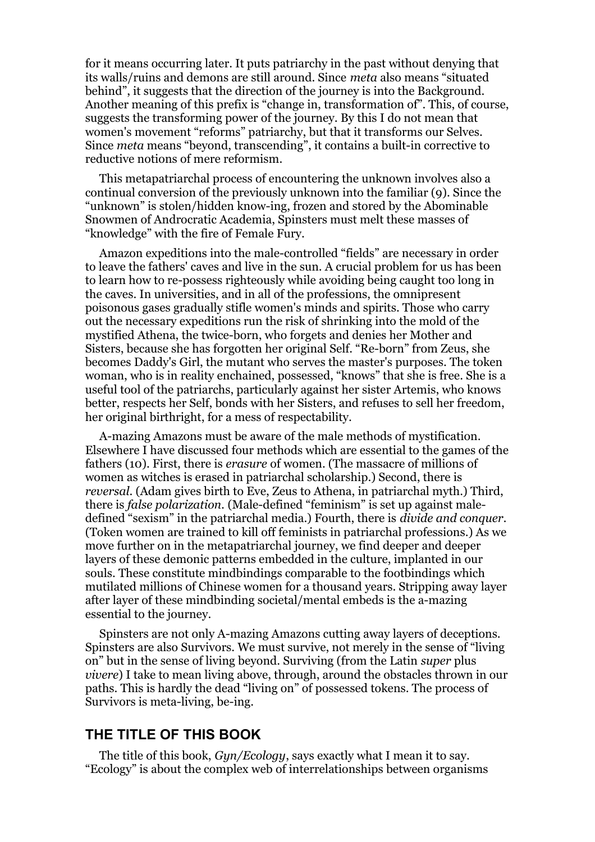for it means occurring later. It puts patriarchy in the past without denying that its walls/ruins and demons are still around. Since *meta* also means "situated behind", it suggests that the direction of the journey is into the Background. Another meaning of this prefix is "change in, transformation of". This, of course, suggests the transforming power of the journey. By this I do not mean that women's movement "reforms" patriarchy, but that it transforms our Selves. Since *meta* means "beyond, transcending", it contains a built-in corrective to reductive notions of mere reformism.

This metapatriarchal process of encountering the unknown involves also a continual conversion of the previously unknown into the familiar (9). Since the "unknown" is stolen/hidden know-ing, frozen and stored by the Abominable Snowmen of Androcratic Academia, Spinsters must melt these masses of "knowledge" with the fire of Female Fury.

Amazon expeditions into the male-controlled "fields" are necessary in order to leave the fathers' caves and live in the sun. A crucial problem for us has been to learn how to re-possess righteously while avoiding being caught too long in the caves. In universities, and in all of the professions, the omnipresent poisonous gases gradually stifle women's minds and spirits. Those who carry out the necessary expeditions run the risk of shrinking into the mold of the mystified Athena, the twice-born, who forgets and denies her Mother and Sisters, because she has forgotten her original Self. "Re-born" from Zeus, she becomes Daddy's Girl, the mutant who serves the master's purposes. The token woman, who is in reality enchained, possessed, "knows" that she is free. She is a useful tool of the patriarchs, particularly against her sister Artemis, who knows better, respects her Self, bonds with her Sisters, and refuses to sell her freedom, her original birthright, for a mess of respectability.

A-mazing Amazons must be aware of the male methods of mystification. Elsewhere I have discussed four methods which are essential to the games of the fathers (10). First, there is *erasure* of women. (The massacre of millions of women as witches is erased in patriarchal scholarship.) Second, there is *reversal*. (Adam gives birth to Eve, Zeus to Athena, in patriarchal myth.) Third, there is *false polarization.* (Male-defined "feminism" is set up against maledefined "sexism" in the patriarchal media.) Fourth, there is *divide and conquer.* (Token women are trained to kill off feminists in patriarchal professions.) As we move further on in the metapatriarchal journey, we find deeper and deeper layers of these demonic patterns embedded in the culture, implanted in our souls. These constitute mindbindings comparable to the footbindings which mutilated millions of Chinese women for a thousand years. Stripping away layer after layer of these mindbinding societal/mental embeds is the a-mazing essential to the journey.

Spinsters are not only A-mazing Amazons cutting away layers of deceptions. Spinsters are also Survivors. We must survive, not merely in the sense of "living on" but in the sense of living beyond. Surviving (from the Latin *super* plus *vivere*) I take to mean living above, through, around the obstacles thrown in our paths. This is hardly the dead "living on" of possessed tokens. The process of Survivors is meta-living, be-ing.

## **THE TITLE OF THIS BOOK**

The title of this book, *Gyn/Ecology*, says exactly what I mean it to say. "Ecology" is about the complex web of interrelationships between organisms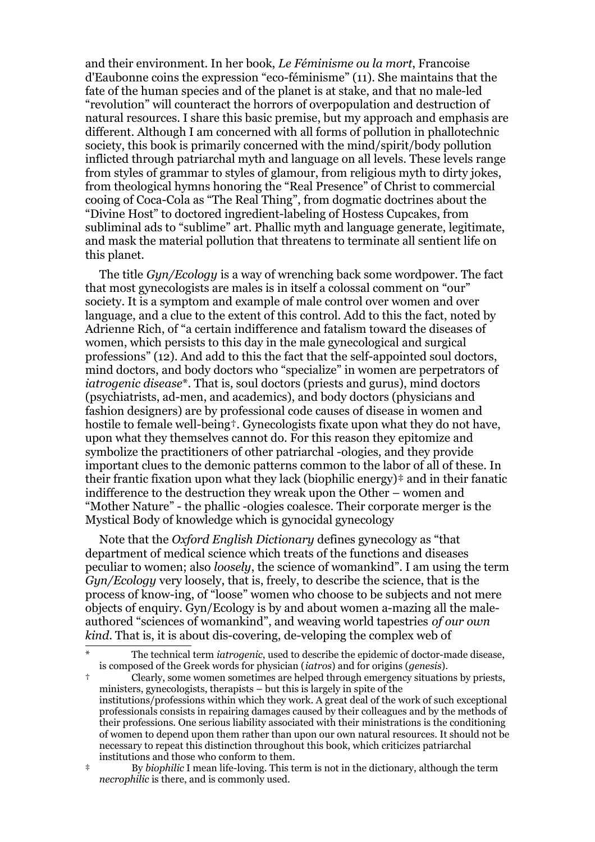and their environment. In her book, *Le Féminisme ou la mort*, Francoise d'Eaubonne coins the expression "eco-féminisme" (11). She maintains that the fate of the human species and of the planet is at stake, and that no male-led "revolution" will counteract the horrors of overpopulation and destruction of natural resources. I share this basic premise, but my approach and emphasis are different. Although I am concerned with all forms of pollution in phallotechnic society, this book is primarily concerned with the mind/spirit/body pollution inflicted through patriarchal myth and language on all levels. These levels range from styles of grammar to styles of glamour, from religious myth to dirty jokes, from theological hymns honoring the "Real Presence" of Christ to commercial cooing of Coca-Cola as "The Real Thing", from dogmatic doctrines about the "Divine Host" to doctored ingredient-labeling of Hostess Cupcakes, from subliminal ads to "sublime" art. Phallic myth and language generate, legitimate, and mask the material pollution that threatens to terminate all sentient life on this planet.

The title *Gyn/Ecology* is a way of wrenching back some wordpower. The fact that most gynecologists are males is in itself a colossal comment on "our" society. It is a symptom and example of male control over women and over language, and a clue to the extent of this control. Add to this the fact, noted by Adrienne Rich, of "a certain indifference and fatalism toward the diseases of women, which persists to this day in the male gynecological and surgical professions" (12). And add to this the fact that the self-appointed soul doctors, mind doctors, and body doctors who "specialize" in women are perpetrators of *iatrogenic disease*[\\*.](#page-11-0) That is, soul doctors (priests and gurus), mind doctors (psychiatrists, ad-men, and academics), and body doctors (physicians and fashion designers) are by professional code causes of disease in women and hostile to female well-bein[g†.](#page-11-1) Gynecologists fixate upon what they do not have, upon what they themselves cannot do. For this reason they epitomize and symbolize the practitioners of other patriarchal -ologies, and they provide important clues to the demonic patterns common to the labor of all of these. In their frantic fixation upon what they lack (biophilic energy) $\ddagger$  and in their fanatic indifference to the destruction they wreak upon the Other – women and "Mother Nature" - the phallic -ologies coalesce. Their corporate merger is the Mystical Body of knowledge which is gynocidal gynecology

Note that the *Oxford English Dictionary* defines gynecology as "that department of medical science which treats of the functions and diseases peculiar to women; also *loosely*, the science of womankind". I am using the term *Gyn/Ecology* very loosely, that is, freely, to describe the science, that is the process of know-ing, of "loose" women who choose to be subjects and not mere objects of enquiry. Gyn/Ecology is by and about women a-mazing all the maleauthored "sciences of womankind", and weaving world tapestries *of our own kind*. That is, it is about dis-covering, de-veloping the complex web of

<span id="page-11-0"></span><sup>\*</sup> The technical term *iatrogenic*, used to describe the epidemic of doctor-made disease, is composed of the Greek words for physician (*iatros*) and for origins (*genesis*).

<span id="page-11-1"></span><sup>†</sup> Clearly, some women sometimes are helped through emergency situations by priests, ministers, gynecologists, therapists – but this is largely in spite of the institutions/professions within which they work. A great deal of the work of such exceptional professionals consists in repairing damages caused by their colleagues and by the methods of their professions. One serious liability associated with their ministrations is the conditioning of women to depend upon them rather than upon our own natural resources. It should not be necessary to repeat this distinction throughout this book, which criticizes patriarchal institutions and those who conform to them.

<span id="page-11-2"></span><sup>‡</sup> By *biophilic* I mean life-loving. This term is not in the dictionary, although the term *necrophilic* is there, and is commonly used.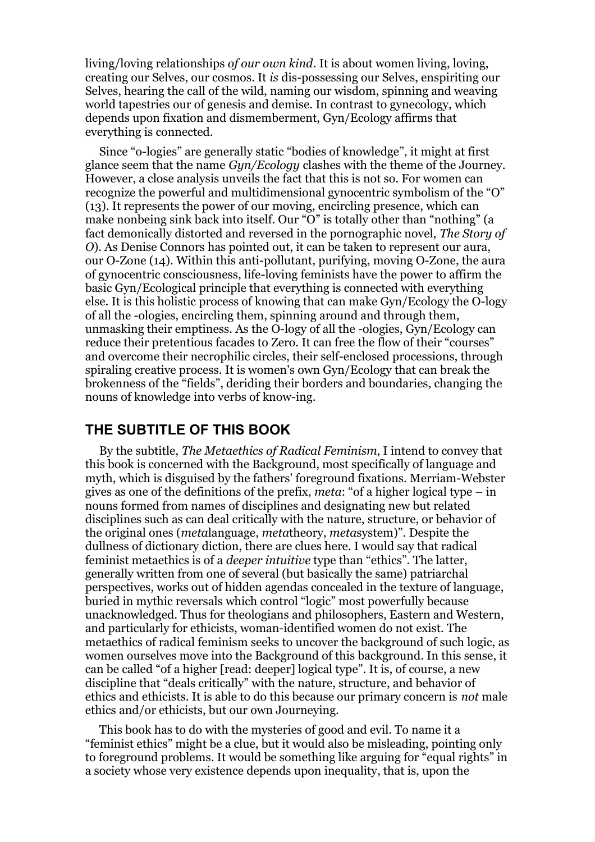living/loving relationships *of our own kind*. It is about women living, loving, creating our Selves, our cosmos. It *is* dis-possessing our Selves, enspiriting our Selves, hearing the call of the wild, naming our wisdom, spinning and weaving world tapestries our of genesis and demise. In contrast to gynecology, which depends upon fixation and dismemberment, Gyn/Ecology affirms that everything is connected.

Since "o-logies" are generally static "bodies of knowledge", it might at first glance seem that the name *Gyn/Ecology* clashes with the theme of the Journey. However, a close analysis unveils the fact that this is not so. For women can recognize the powerful and multidimensional gynocentric symbolism of the "O" (13). It represents the power of our moving, encircling presence, which can make nonbeing sink back into itself. Our "O" is totally other than "nothing" (a fact demonically distorted and reversed in the pornographic novel, *The Story of O*). As Denise Connors has pointed out, it can be taken to represent our aura, our O-Zone (14). Within this anti-pollutant, purifying, moving O-Zone, the aura of gynocentric consciousness, life-loving feminists have the power to affirm the basic Gyn/Ecological principle that everything is connected with everything else. It is this holistic process of knowing that can make Gyn/Ecology the O-logy of all the -ologies, encircling them, spinning around and through them, unmasking their emptiness. As the O-logy of all the -ologies, Gyn/Ecology can reduce their pretentious facades to Zero. It can free the flow of their "courses" and overcome their necrophilic circles, their self-enclosed processions, through spiraling creative process. It is women's own Gyn/Ecology that can break the brokenness of the "fields", deriding their borders and boundaries, changing the nouns of knowledge into verbs of know-ing.

## **THE SUBTITLE OF THIS BOOK**

By the subtitle, *The Metaethics of Radical Feminism*, I intend to convey that this book is concerned with the Background, most specifically of language and myth, which is disguised by the fathers' foreground fixations. Merriam-Webster gives as one of the definitions of the prefix, *meta*: "of a higher logical type – in nouns formed from names of disciplines and designating new but related disciplines such as can deal critically with the nature, structure, or behavior of the original ones (*meta*language, *meta*theory, *meta*system)". Despite the dullness of dictionary diction, there are clues here. I would say that radical feminist metaethics is of a *deeper intuitive* type than "ethics". The latter, generally written from one of several (but basically the same) patriarchal perspectives, works out of hidden agendas concealed in the texture of language, buried in mythic reversals which control "logic" most powerfully because unacknowledged. Thus for theologians and philosophers, Eastern and Western, and particularly for ethicists, woman-identified women do not exist. The metaethics of radical feminism seeks to uncover the background of such logic, as women ourselves move into the Background of this background. In this sense, it can be called "of a higher [read: deeper] logical type". It is, of course, a new discipline that "deals critically" with the nature, structure, and behavior of ethics and ethicists. It is able to do this because our primary concern is *not* male ethics and/or ethicists, but our own Journeying.

This book has to do with the mysteries of good and evil. To name it a "feminist ethics" might be a clue, but it would also be misleading, pointing only to foreground problems. It would be something like arguing for "equal rights" in a society whose very existence depends upon inequality, that is, upon the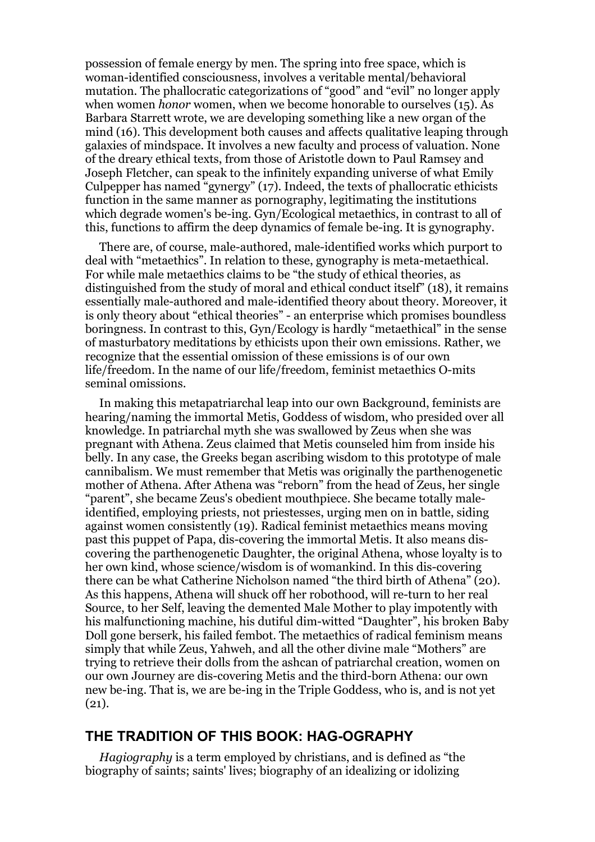possession of female energy by men. The spring into free space, which is woman-identified consciousness, involves a veritable mental/behavioral mutation. The phallocratic categorizations of "good" and "evil" no longer apply when women *honor* women, when we become honorable to ourselves (15). As Barbara Starrett wrote, we are developing something like a new organ of the mind (16). This development both causes and affects qualitative leaping through galaxies of mindspace. It involves a new faculty and process of valuation. None of the dreary ethical texts, from those of Aristotle down to Paul Ramsey and Joseph Fletcher, can speak to the infinitely expanding universe of what Emily Culpepper has named "gynergy" (17). Indeed, the texts of phallocratic ethicists function in the same manner as pornography, legitimating the institutions which degrade women's be-ing. Gyn/Ecological metaethics, in contrast to all of this, functions to affirm the deep dynamics of female be-ing. It is gynography.

There are, of course, male-authored, male-identified works which purport to deal with "metaethics". In relation to these, gynography is meta-metaethical. For while male metaethics claims to be "the study of ethical theories, as distinguished from the study of moral and ethical conduct itself" (18), it remains essentially male-authored and male-identified theory about theory. Moreover, it is only theory about "ethical theories" - an enterprise which promises boundless boringness. In contrast to this, Gyn/Ecology is hardly "metaethical" in the sense of masturbatory meditations by ethicists upon their own emissions. Rather, we recognize that the essential omission of these emissions is of our own life/freedom. In the name of our life/freedom, feminist metaethics O-mits seminal omissions.

In making this metapatriarchal leap into our own Background, feminists are hearing/naming the immortal Metis, Goddess of wisdom, who presided over all knowledge. In patriarchal myth she was swallowed by Zeus when she was pregnant with Athena. Zeus claimed that Metis counseled him from inside his belly. In any case, the Greeks began ascribing wisdom to this prototype of male cannibalism. We must remember that Metis was originally the parthenogenetic mother of Athena. After Athena was "reborn" from the head of Zeus, her single "parent", she became Zeus's obedient mouthpiece. She became totally maleidentified, employing priests, not priestesses, urging men on in battle, siding against women consistently (19). Radical feminist metaethics means moving past this puppet of Papa, dis-covering the immortal Metis. It also means discovering the parthenogenetic Daughter, the original Athena, whose loyalty is to her own kind, whose science/wisdom is of womankind. In this dis-covering there can be what Catherine Nicholson named "the third birth of Athena" (20). As this happens, Athena will shuck off her robothood, will re-turn to her real Source, to her Self, leaving the demented Male Mother to play impotently with his malfunctioning machine, his dutiful dim-witted "Daughter", his broken Baby Doll gone berserk, his failed fembot. The metaethics of radical feminism means simply that while Zeus, Yahweh, and all the other divine male "Mothers" are trying to retrieve their dolls from the ashcan of patriarchal creation, women on our own Journey are dis-covering Metis and the third-born Athena: our own new be-ing. That is, we are be-ing in the Triple Goddess, who is, and is not yet (21).

## **THE TRADITION OF THIS BOOK: HAG-OGRAPHY**

*Hagiography* is a term employed by christians, and is defined as "the biography of saints; saints' lives; biography of an idealizing or idolizing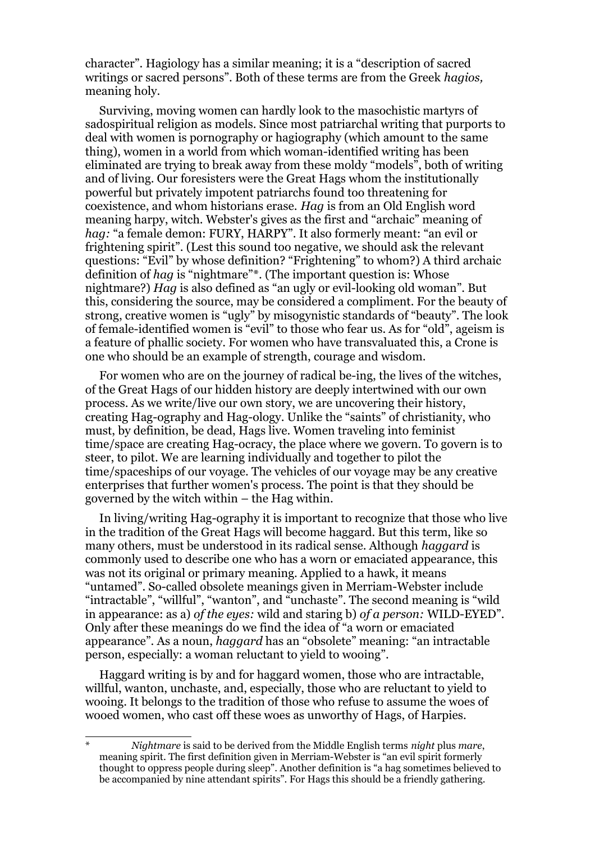character". Hagiology has a similar meaning; it is a "description of sacred writings or sacred persons". Both of these terms are from the Greek *hagios,*  meaning holy.

Surviving, moving women can hardly look to the masochistic martyrs of sadospiritual religion as models. Since most patriarchal writing that purports to deal with women is pornography or hagiography (which amount to the same thing), women in a world from which woman-identified writing has been eliminated are trying to break away from these moldy "models", both of writing and of living. Our foresisters were the Great Hags whom the institutionally powerful but privately impotent patriarchs found too threatening for coexistence, and whom historians erase. *Hag* is from an Old English word meaning harpy, witch. Webster's gives as the first and "archaic" meaning of *hag:* "a female demon: FURY, HARPY". It also formerly meant: "an evil or frightening spirit". (Lest this sound too negative, we should ask the relevant questions: "Evil" by whose definition? "Frightening" to whom?) A third archaic definition of *hag* is "nightmare["\\*.](#page-14-0) (The important question is: Whose nightmare?) *Hag* is also defined as "an ugly or evil-looking old woman". But this, considering the source, may be considered a compliment. For the beauty of strong, creative women is "ugly" by misogynistic standards of "beauty". The look of female-identified women is "evil" to those who fear us. As for "old", ageism is a feature of phallic society. For women who have transvaluated this, a Crone is one who should be an example of strength, courage and wisdom.

For women who are on the journey of radical be-ing, the lives of the witches, of the Great Hags of our hidden history are deeply intertwined with our own process. As we write/live our own story, we are uncovering their history, creating Hag-ography and Hag-ology. Unlike the "saints" of christianity, who must, by definition, be dead, Hags live. Women traveling into feminist time/space are creating Hag-ocracy, the place where we govern. To govern is to steer, to pilot. We are learning individually and together to pilot the time/spaceships of our voyage. The vehicles of our voyage may be any creative enterprises that further women's process. The point is that they should be governed by the witch within – the Hag within.

In living/writing Hag-ography it is important to recognize that those who live in the tradition of the Great Hags will become haggard. But this term, like so many others, must be understood in its radical sense. Although *haggard* is commonly used to describe one who has a worn or emaciated appearance, this was not its original or primary meaning. Applied to a hawk, it means "untamed". So-called obsolete meanings given in Merriam-Webster include "intractable", "willful", "wanton", and "unchaste". The second meaning is "wild in appearance: as a) *of the eyes:* wild and staring b) *of a person:* WILD-EYED". Only after these meanings do we find the idea of "a worn or emaciated appearance". As a noun, *haggard* has an "obsolete" meaning: "an intractable person, especially: a woman reluctant to yield to wooing".

Haggard writing is by and for haggard women, those who are intractable, willful, wanton, unchaste, and, especially, those who are reluctant to yield to wooing. It belongs to the tradition of those who refuse to assume the woes of wooed women, who cast off these woes as unworthy of Hags, of Harpies.

<span id="page-14-0"></span><sup>\*</sup> *Nightmare* is said to be derived from the Middle English terms *night* plus *mare*, meaning spirit. The first definition given in Merriam-Webster is "an evil spirit formerly thought to oppress people during sleep". Another definition is "a hag sometimes believed to be accompanied by nine attendant spirits". For Hags this should be a friendly gathering.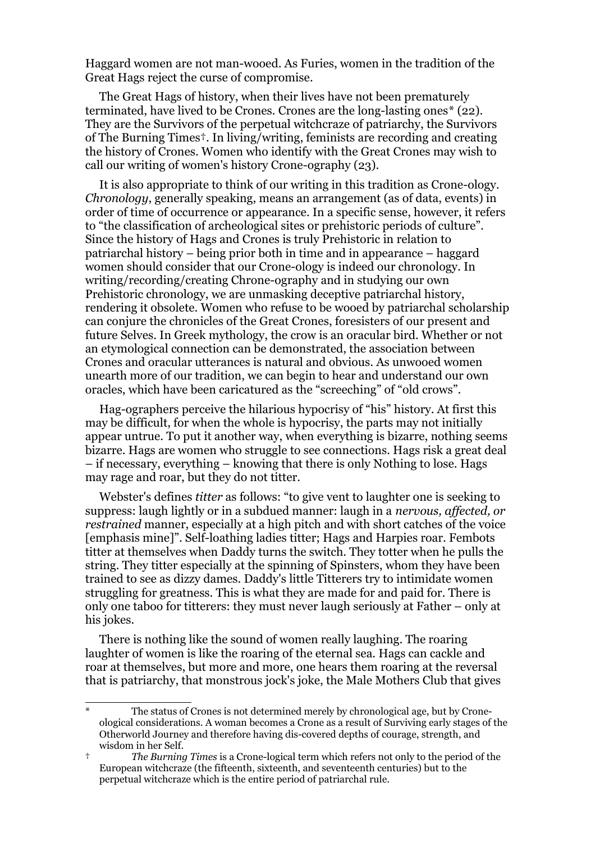Haggard women are not man-wooed. As Furies, women in the tradition of the Great Hags reject the curse of compromise.

The Great Hags of history, when their lives have not been prematurely terminated, have lived to be Crones. Crones are the long-lasting one[s\\*](#page-15-0) (22). They are the Survivors of the perpetual witchcraze of patriarchy, the Survivors of The Burning Time[s†.](#page-15-1) In living/writing, feminists are recording and creating the history of Crones. Women who identify with the Great Crones may wish to call our writing of women's history Crone-ography (23).

It is also appropriate to think of our writing in this tradition as Crone-ology. *Chronology*, generally speaking, means an arrangement (as of data, events) in order of time of occurrence or appearance. In a specific sense, however, it refers to "the classification of archeological sites or prehistoric periods of culture". Since the history of Hags and Crones is truly Prehistoric in relation to patriarchal history – being prior both in time and in appearance – haggard women should consider that our Crone-ology is indeed our chronology. In writing/recording/creating Chrone-ography and in studying our own Prehistoric chronology, we are unmasking deceptive patriarchal history, rendering it obsolete. Women who refuse to be wooed by patriarchal scholarship can conjure the chronicles of the Great Crones, foresisters of our present and future Selves. In Greek mythology, the crow is an oracular bird. Whether or not an etymological connection can be demonstrated, the association between Crones and oracular utterances is natural and obvious. As unwooed women unearth more of our tradition, we can begin to hear and understand our own oracles, which have been caricatured as the "screeching" of "old crows".

Hag-ographers perceive the hilarious hypocrisy of "his" history. At first this may be difficult, for when the whole is hypocrisy, the parts may not initially appear untrue. To put it another way, when everything is bizarre, nothing seems bizarre. Hags are women who struggle to see connections. Hags risk a great deal – if necessary, everything – knowing that there is only Nothing to lose. Hags may rage and roar, but they do not titter.

Webster's defines *titter* as follows: "to give vent to laughter one is seeking to suppress: laugh lightly or in a subdued manner: laugh in a *nervous, affected, or restrained* manner, especially at a high pitch and with short catches of the voice [emphasis mine]". Self-loathing ladies titter; Hags and Harpies roar. Fembots titter at themselves when Daddy turns the switch. They totter when he pulls the string. They titter especially at the spinning of Spinsters, whom they have been trained to see as dizzy dames. Daddy's little Titterers try to intimidate women struggling for greatness. This is what they are made for and paid for. There is only one taboo for titterers: they must never laugh seriously at Father – only at his jokes.

There is nothing like the sound of women really laughing. The roaring laughter of women is like the roaring of the eternal sea. Hags can cackle and roar at themselves, but more and more, one hears them roaring at the reversal that is patriarchy, that monstrous jock's joke, the Male Mothers Club that gives

<span id="page-15-0"></span><sup>\*</sup> The status of Crones is not determined merely by chronological age, but by Croneological considerations. A woman becomes a Crone as a result of Surviving early stages of the Otherworld Journey and therefore having dis-covered depths of courage, strength, and wisdom in her Self.

<span id="page-15-1"></span><sup>†</sup> *The Burning Times* is a Crone-logical term which refers not only to the period of the European witchcraze (the fifteenth, sixteenth, and seventeenth centuries) but to the perpetual witchcraze which is the entire period of patriarchal rule.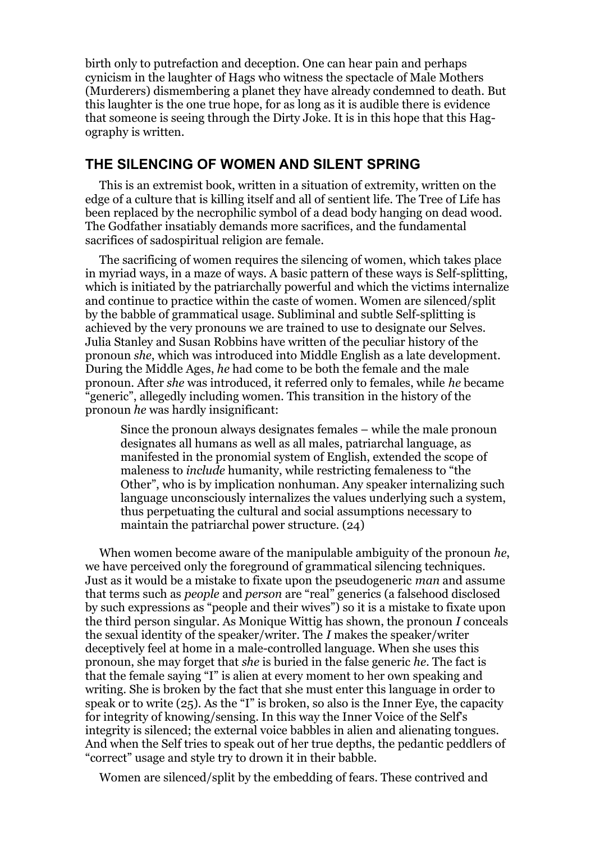birth only to putrefaction and deception. One can hear pain and perhaps cynicism in the laughter of Hags who witness the spectacle of Male Mothers (Murderers) dismembering a planet they have already condemned to death. But this laughter is the one true hope, for as long as it is audible there is evidence that someone is seeing through the Dirty Joke. It is in this hope that this Hagography is written.

## **THE SILENCING OF WOMEN AND SILENT SPRING**

This is an extremist book, written in a situation of extremity, written on the edge of a culture that is killing itself and all of sentient life. The Tree of Life has been replaced by the necrophilic symbol of a dead body hanging on dead wood. The Godfather insatiably demands more sacrifices, and the fundamental sacrifices of sadospiritual religion are female.

The sacrificing of women requires the silencing of women, which takes place in myriad ways, in a maze of ways. A basic pattern of these ways is Self-splitting, which is initiated by the patriarchally powerful and which the victims internalize and continue to practice within the caste of women. Women are silenced/split by the babble of grammatical usage. Subliminal and subtle Self-splitting is achieved by the very pronouns we are trained to use to designate our Selves. Julia Stanley and Susan Robbins have written of the peculiar history of the pronoun *she*, which was introduced into Middle English as a late development. During the Middle Ages, *he* had come to be both the female and the male pronoun. After *she* was introduced, it referred only to females, while *he* became "generic", allegedly including women. This transition in the history of the pronoun *he* was hardly insignificant:

Since the pronoun always designates females – while the male pronoun designates all humans as well as all males, patriarchal language, as manifested in the pronomial system of English, extended the scope of maleness to *include* humanity, while restricting femaleness to "the Other", who is by implication nonhuman. Any speaker internalizing such language unconsciously internalizes the values underlying such a system, thus perpetuating the cultural and social assumptions necessary to maintain the patriarchal power structure. (24)

When women become aware of the manipulable ambiguity of the pronoun *he*, we have perceived only the foreground of grammatical silencing techniques. Just as it would be a mistake to fixate upon the pseudogeneric *man* and assume that terms such as *people* and *person* are "real" generics (a falsehood disclosed by such expressions as "people and their wives") so it is a mistake to fixate upon the third person singular. As Monique Wittig has shown, the pronoun *I* conceals the sexual identity of the speaker/writer. The *I* makes the speaker/writer deceptively feel at home in a male-controlled language. When she uses this pronoun, she may forget that *she* is buried in the false generic *he*. The fact is that the female saying "I" is alien at every moment to her own speaking and writing. She is broken by the fact that she must enter this language in order to speak or to write (25). As the "I" is broken, so also is the Inner Eye, the capacity for integrity of knowing/sensing. In this way the Inner Voice of the Self's integrity is silenced; the external voice babbles in alien and alienating tongues. And when the Self tries to speak out of her true depths, the pedantic peddlers of "correct" usage and style try to drown it in their babble.

Women are silenced/split by the embedding of fears. These contrived and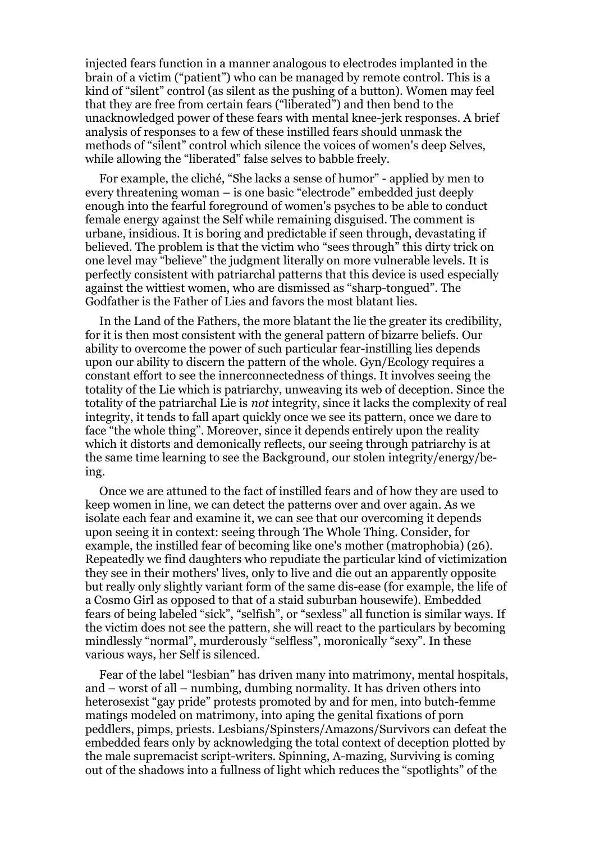injected fears function in a manner analogous to electrodes implanted in the brain of a victim ("patient") who can be managed by remote control. This is a kind of "silent" control (as silent as the pushing of a button). Women may feel that they are free from certain fears ("liberated") and then bend to the unacknowledged power of these fears with mental knee-jerk responses. A brief analysis of responses to a few of these instilled fears should unmask the methods of "silent" control which silence the voices of women's deep Selves, while allowing the "liberated" false selves to babble freely.

For example, the cliché, "She lacks a sense of humor" - applied by men to every threatening woman – is one basic "electrode" embedded just deeply enough into the fearful foreground of women's psyches to be able to conduct female energy against the Self while remaining disguised. The comment is urbane, insidious. It is boring and predictable if seen through, devastating if believed. The problem is that the victim who "sees through" this dirty trick on one level may "believe" the judgment literally on more vulnerable levels. It is perfectly consistent with patriarchal patterns that this device is used especially against the wittiest women, who are dismissed as "sharp-tongued". The Godfather is the Father of Lies and favors the most blatant lies.

In the Land of the Fathers, the more blatant the lie the greater its credibility, for it is then most consistent with the general pattern of bizarre beliefs. Our ability to overcome the power of such particular fear-instilling lies depends upon our ability to discern the pattern of the whole. Gyn/Ecology requires a constant effort to see the innerconnectedness of things. It involves seeing the totality of the Lie which is patriarchy, unweaving its web of deception. Since the totality of the patriarchal Lie is *not* integrity, since it lacks the complexity of real integrity, it tends to fall apart quickly once we see its pattern, once we dare to face "the whole thing". Moreover, since it depends entirely upon the reality which it distorts and demonically reflects, our seeing through patriarchy is at the same time learning to see the Background, our stolen integrity/energy/being.

Once we are attuned to the fact of instilled fears and of how they are used to keep women in line, we can detect the patterns over and over again. As we isolate each fear and examine it, we can see that our overcoming it depends upon seeing it in context: seeing through The Whole Thing. Consider, for example, the instilled fear of becoming like one's mother (matrophobia) (26). Repeatedly we find daughters who repudiate the particular kind of victimization they see in their mothers' lives, only to live and die out an apparently opposite but really only slightly variant form of the same dis-ease (for example, the life of a Cosmo Girl as opposed to that of a staid suburban housewife). Embedded fears of being labeled "sick", "selfish", or "sexless" all function is similar ways. If the victim does not see the pattern, she will react to the particulars by becoming mindlessly "normal", murderously "selfless", moronically "sexy". In these various ways, her Self is silenced.

Fear of the label "lesbian" has driven many into matrimony, mental hospitals, and – worst of all – numbing, dumbing normality. It has driven others into heterosexist "gay pride" protests promoted by and for men, into butch-femme matings modeled on matrimony, into aping the genital fixations of porn peddlers, pimps, priests. Lesbians/Spinsters/Amazons/Survivors can defeat the embedded fears only by acknowledging the total context of deception plotted by the male supremacist script-writers. Spinning, A-mazing, Surviving is coming out of the shadows into a fullness of light which reduces the "spotlights" of the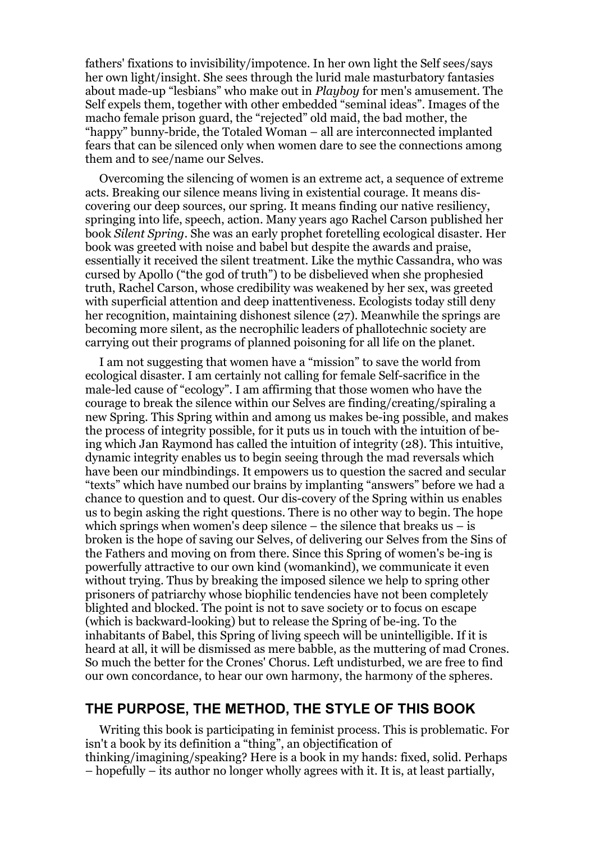fathers' fixations to invisibility/impotence. In her own light the Self sees/says her own light/insight. She sees through the lurid male masturbatory fantasies about made-up "lesbians" who make out in *Playboy* for men's amusement. The Self expels them, together with other embedded "seminal ideas". Images of the macho female prison guard, the "rejected" old maid, the bad mother, the "happy" bunny-bride, the Totaled Woman – all are interconnected implanted fears that can be silenced only when women dare to see the connections among them and to see/name our Selves.

Overcoming the silencing of women is an extreme act, a sequence of extreme acts. Breaking our silence means living in existential courage. It means discovering our deep sources, our spring. It means finding our native resiliency, springing into life, speech, action. Many years ago Rachel Carson published her book *Silent Spring*. She was an early prophet foretelling ecological disaster. Her book was greeted with noise and babel but despite the awards and praise, essentially it received the silent treatment. Like the mythic Cassandra, who was cursed by Apollo ("the god of truth") to be disbelieved when she prophesied truth, Rachel Carson, whose credibility was weakened by her sex, was greeted with superficial attention and deep inattentiveness. Ecologists today still deny her recognition, maintaining dishonest silence (27). Meanwhile the springs are becoming more silent, as the necrophilic leaders of phallotechnic society are carrying out their programs of planned poisoning for all life on the planet.

I am not suggesting that women have a "mission" to save the world from ecological disaster. I am certainly not calling for female Self-sacrifice in the male-led cause of "ecology". I am affirming that those women who have the courage to break the silence within our Selves are finding/creating/spiraling a new Spring. This Spring within and among us makes be-ing possible, and makes the process of integrity possible, for it puts us in touch with the intuition of being which Jan Raymond has called the intuition of integrity (28). This intuitive, dynamic integrity enables us to begin seeing through the mad reversals which have been our mindbindings. It empowers us to question the sacred and secular "texts" which have numbed our brains by implanting "answers" before we had a chance to question and to quest. Our dis-covery of the Spring within us enables us to begin asking the right questions. There is no other way to begin. The hope which springs when women's deep silence – the silence that breaks us – is broken is the hope of saving our Selves, of delivering our Selves from the Sins of the Fathers and moving on from there. Since this Spring of women's be-ing is powerfully attractive to our own kind (womankind), we communicate it even without trying. Thus by breaking the imposed silence we help to spring other prisoners of patriarchy whose biophilic tendencies have not been completely blighted and blocked. The point is not to save society or to focus on escape (which is backward-looking) but to release the Spring of be-ing. To the inhabitants of Babel, this Spring of living speech will be unintelligible. If it is heard at all, it will be dismissed as mere babble, as the muttering of mad Crones. So much the better for the Crones' Chorus. Left undisturbed, we are free to find our own concordance, to hear our own harmony, the harmony of the spheres.

## **THE PURPOSE, THE METHOD, THE STYLE OF THIS BOOK**

Writing this book is participating in feminist process. This is problematic. For isn't a book by its definition a "thing", an objectification of thinking/imagining/speaking? Here is a book in my hands: fixed, solid. Perhaps – hopefully – its author no longer wholly agrees with it. It is, at least partially,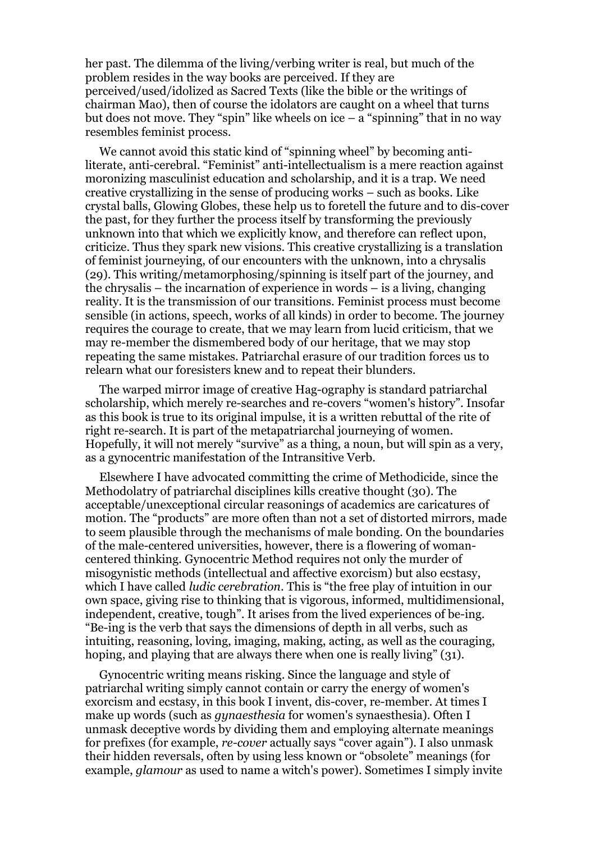her past. The dilemma of the living/verbing writer is real, but much of the problem resides in the way books are perceived. If they are perceived/used/idolized as Sacred Texts (like the bible or the writings of chairman Mao), then of course the idolators are caught on a wheel that turns but does not move. They "spin" like wheels on ice  $-$  a "spinning" that in no way resembles feminist process.

We cannot avoid this static kind of "spinning wheel" by becoming antiliterate, anti-cerebral. "Feminist" anti-intellectualism is a mere reaction against moronizing masculinist education and scholarship, and it is a trap. We need creative crystallizing in the sense of producing works – such as books. Like crystal balls, Glowing Globes, these help us to foretell the future and to dis-cover the past, for they further the process itself by transforming the previously unknown into that which we explicitly know, and therefore can reflect upon, criticize. Thus they spark new visions. This creative crystallizing is a translation of feminist journeying, of our encounters with the unknown, into a chrysalis (29). This writing/metamorphosing/spinning is itself part of the journey, and the chrysalis – the incarnation of experience in words – is a living, changing reality. It is the transmission of our transitions. Feminist process must become sensible (in actions, speech, works of all kinds) in order to become. The journey requires the courage to create, that we may learn from lucid criticism, that we may re-member the dismembered body of our heritage, that we may stop repeating the same mistakes. Patriarchal erasure of our tradition forces us to relearn what our foresisters knew and to repeat their blunders.

The warped mirror image of creative Hag-ography is standard patriarchal scholarship, which merely re-searches and re-covers "women's history". Insofar as this book is true to its original impulse, it is a written rebuttal of the rite of right re-search. It is part of the metapatriarchal journeying of women. Hopefully, it will not merely "survive" as a thing, a noun, but will spin as a very, as a gynocentric manifestation of the Intransitive Verb.

Elsewhere I have advocated committing the crime of Methodicide, since the Methodolatry of patriarchal disciplines kills creative thought (30). The acceptable/unexceptional circular reasonings of academics are caricatures of motion. The "products" are more often than not a set of distorted mirrors, made to seem plausible through the mechanisms of male bonding. On the boundaries of the male-centered universities, however, there is a flowering of womancentered thinking. Gynocentric Method requires not only the murder of misogynistic methods (intellectual and affective exorcism) but also ecstasy, which I have called *ludic cerebration*. This is "the free play of intuition in our own space, giving rise to thinking that is vigorous, informed, multidimensional, independent, creative, tough". It arises from the lived experiences of be-ing. "Be-ing is the verb that says the dimensions of depth in all verbs, such as intuiting, reasoning, loving, imaging, making, acting, as well as the couraging, hoping, and playing that are always there when one is really living" (31).

Gynocentric writing means risking. Since the language and style of patriarchal writing simply cannot contain or carry the energy of women's exorcism and ecstasy, in this book I invent, dis-cover, re-member. At times I make up words (such as *gynaesthesia* for women's synaesthesia). Often I unmask deceptive words by dividing them and employing alternate meanings for prefixes (for example, *re-cover* actually says "cover again"). I also unmask their hidden reversals, often by using less known or "obsolete" meanings (for example, *glamour* as used to name a witch's power). Sometimes I simply invite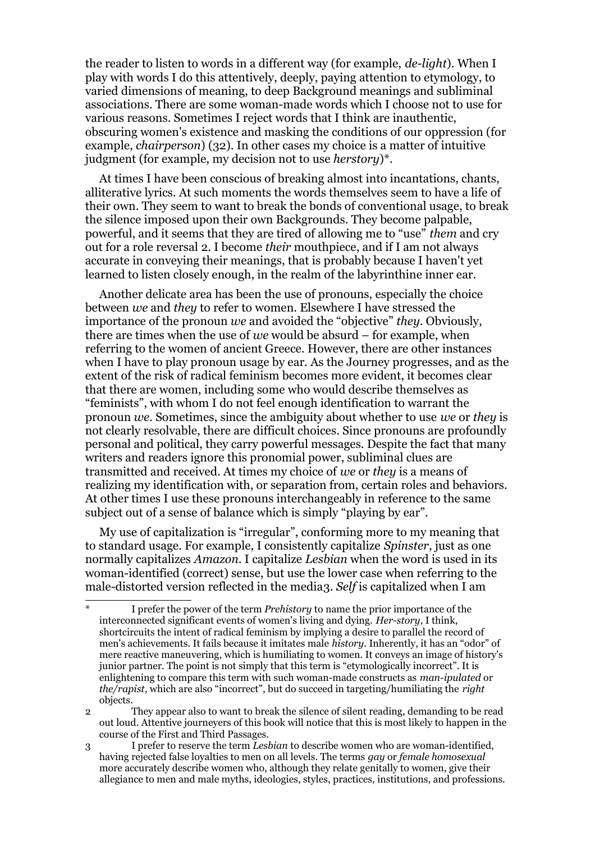the reader to listen to words in a different way (for example, *de-light*). When I play with words I do this attentively, deeply, paying attention to etymology, to varied dimensions of meaning, to deep Background meanings and subliminal associations. There are some woman-made words which I choose not to use for various reasons. Sometimes I reject words that I think are inauthentic, obscuring women's existence and masking the conditions of our oppression (for example, *chairperson*) (32). In other cases my choice is a matter of intuitive judgment (for example, my decision not to use *herstory*[\)\\*.](#page-20-0)

At times I have been conscious of breaking almost into incantations, chants, alliterative lyrics. At such moments the words themselves seem to have a life of their own. They seem to want to break the bonds of conventional usage, to break the silence imposed upon their own Backgrounds. They become palpable, powerful, and it seems that they are tired of allowing me to "use" *them* and cry out for a role reversal [2.](#page-20-1) I become *their* mouthpiece, and if I am not always accurate in conveying their meanings, that is probably because I haven't yet learned to listen closely enough, in the realm of the labyrinthine inner ear.

Another delicate area has been the use of pronouns, especially the choice between *we* and *they* to refer to women. Elsewhere I have stressed the importance of the pronoun *we* and avoided the "objective" *they*. Obviously, there are times when the use of *we* would be absurd – for example, when referring to the women of ancient Greece. However, there are other instances when I have to play pronoun usage by ear. As the Journey progresses, and as the extent of the risk of radical feminism becomes more evident, it becomes clear that there are women, including some who would describe themselves as "feminists", with whom I do not feel enough identification to warrant the pronoun *we*. Sometimes, since the ambiguity about whether to use *we* or *they* is not clearly resolvable, there are difficult choices. Since pronouns are profoundly personal and political, they carry powerful messages. Despite the fact that many writers and readers ignore this pronomial power, subliminal clues are transmitted and received. At times my choice of *we* or *they* is a means of realizing my identification with, or separation from, certain roles and behaviors. At other times I use these pronouns interchangeably in reference to the same subject out of a sense of balance which is simply "playing by ear".

My use of capitalization is "irregular", conforming more to my meaning that to standard usage. For example, I consistently capitalize *Spinster*, just as one normally capitalizes *Amazon*. I capitalize *Lesbian* when the word is used in its woman-identified (correct) sense, but use the lower case when referring to the male-distorted version reflected in the media[3.](#page-20-2) *Self* is capitalized when I am

<span id="page-20-0"></span><sup>\*</sup> I prefer the power of the term *Prehistory* to name the prior importance of the interconnected significant events of women's living and dying. *Her-story*, I think, shortcircuits the intent of radical feminism by implying a desire to parallel the record of men's achievements. It fails because it imitates male *history*. Inherently, it has an "odor" of mere reactive maneuvering, which is humiliating to women. It conveys an image of history's junior partner. The point is not simply that this term is "etymologically incorrect". It is enlightening to compare this term with such woman-made constructs as *man-ipulated* or *the/rapist*, which are also "incorrect", but do succeed in targeting/humiliating the *right* objects.

<span id="page-20-1"></span><sup>2</sup> They appear also to want to break the silence of silent reading, demanding to be read out loud. Attentive journeyers of this book will notice that this is most likely to happen in the course of the First and Third Passages.

<span id="page-20-2"></span><sup>3</sup> I prefer to reserve the term *Lesbian* to describe women who are woman-identified, having rejected false loyalties to men on all levels. The terms *gay* or *female homosexual*  more accurately describe women who, although they relate genitally to women, give their allegiance to men and male myths, ideologies, styles, practices, institutions, and professions.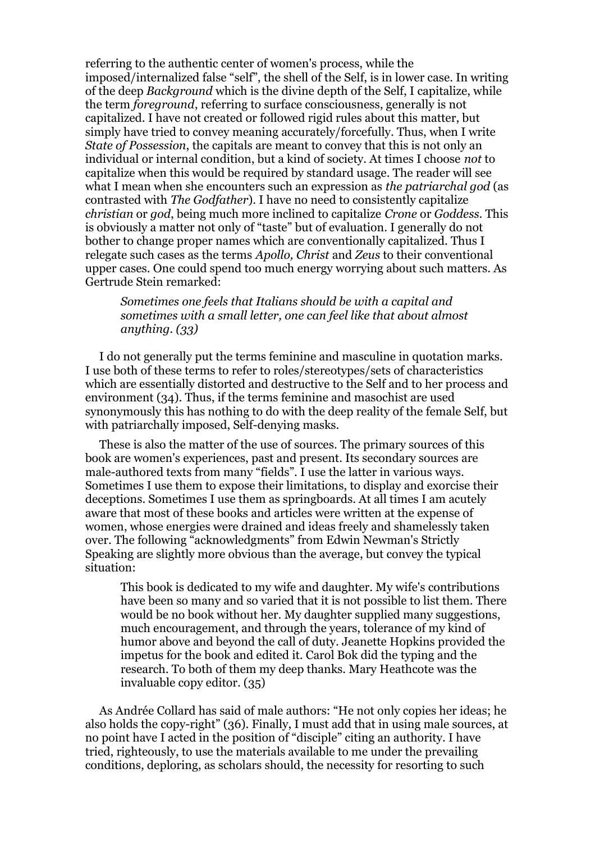referring to the authentic center of women's process, while the imposed/internalized false "self", the shell of the Self, is in lower case. In writing of the deep *Background* which is the divine depth of the Self, I capitalize, while the term *foreground*, referring to surface consciousness, generally is not capitalized. I have not created or followed rigid rules about this matter, but simply have tried to convey meaning accurately/forcefully. Thus, when I write *State of Possession*, the capitals are meant to convey that this is not only an individual or internal condition, but a kind of society. At times I choose *not* to capitalize when this would be required by standard usage. The reader will see what I mean when she encounters such an expression as *the patriarchal god* (as contrasted with *The Godfather*). I have no need to consistently capitalize *christian* or *god*, being much more inclined to capitalize *Crone* or *Goddess*. This is obviously a matter not only of "taste" but of evaluation. I generally do not bother to change proper names which are conventionally capitalized. Thus I relegate such cases as the terms *Apollo, Christ* and *Zeus* to their conventional upper cases. One could spend too much energy worrying about such matters. As Gertrude Stein remarked:

*Sometimes one feels that Italians should be with a capital and sometimes with a small letter, one can feel like that about almost anything. (33)*

I do not generally put the terms feminine and masculine in quotation marks. I use both of these terms to refer to roles/stereotypes/sets of characteristics which are essentially distorted and destructive to the Self and to her process and environment (34). Thus, if the terms feminine and masochist are used synonymously this has nothing to do with the deep reality of the female Self, but with patriarchally imposed, Self-denying masks.

These is also the matter of the use of sources. The primary sources of this book are women's experiences, past and present. Its secondary sources are male-authored texts from many "fields". I use the latter in various ways. Sometimes I use them to expose their limitations, to display and exorcise their deceptions. Sometimes I use them as springboards. At all times I am acutely aware that most of these books and articles were written at the expense of women, whose energies were drained and ideas freely and shamelessly taken over. The following "acknowledgments" from Edwin Newman's Strictly Speaking are slightly more obvious than the average, but convey the typical situation:

This book is dedicated to my wife and daughter. My wife's contributions have been so many and so varied that it is not possible to list them. There would be no book without her. My daughter supplied many suggestions, much encouragement, and through the years, tolerance of my kind of humor above and beyond the call of duty. Jeanette Hopkins provided the impetus for the book and edited it. Carol Bok did the typing and the research. To both of them my deep thanks. Mary Heathcote was the invaluable copy editor. (35)

As Andrée Collard has said of male authors: "He not only copies her ideas; he also holds the copy-right" (36). Finally, I must add that in using male sources, at no point have I acted in the position of "disciple" citing an authority. I have tried, righteously, to use the materials available to me under the prevailing conditions, deploring, as scholars should, the necessity for resorting to such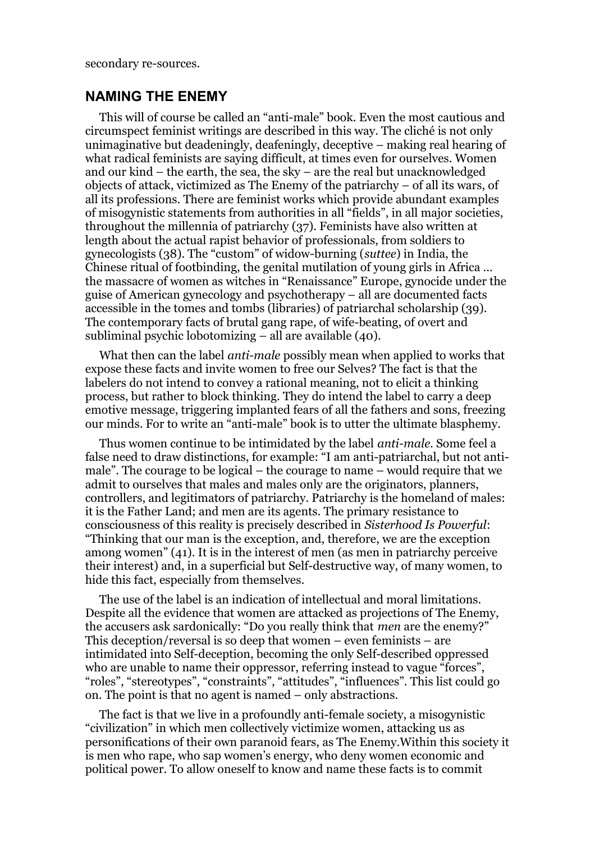secondary re-sources.

### **NAMING THE ENEMY**

This will of course be called an "anti-male" book. Even the most cautious and circumspect feminist writings are described in this way. The cliché is not only unimaginative but deadeningly, deafeningly, deceptive – making real hearing of what radical feminists are saying difficult, at times even for ourselves. Women and our kind – the earth, the sea, the sky – are the real but unacknowledged objects of attack, victimized as The Enemy of the patriarchy – of all its wars, of all its professions. There are feminist works which provide abundant examples of misogynistic statements from authorities in all "fields", in all major societies, throughout the millennia of patriarchy (37). Feminists have also written at length about the actual rapist behavior of professionals, from soldiers to gynecologists (38). The "custom" of widow-burning (*suttee*) in India, the Chinese ritual of footbinding, the genital mutilation of young girls in Africa … the massacre of women as witches in "Renaissance" Europe, gynocide under the guise of American gynecology and psychotherapy – all are documented facts accessible in the tomes and tombs (libraries) of patriarchal scholarship (39). The contemporary facts of brutal gang rape, of wife-beating, of overt and subliminal psychic lobotomizing – all are available (40).

What then can the label *anti-male* possibly mean when applied to works that expose these facts and invite women to free our Selves? The fact is that the labelers do not intend to convey a rational meaning, not to elicit a thinking process, but rather to block thinking. They do intend the label to carry a deep emotive message, triggering implanted fears of all the fathers and sons, freezing our minds. For to write an "anti-male" book is to utter the ultimate blasphemy.

Thus women continue to be intimidated by the label *anti-male.* Some feel a false need to draw distinctions, for example: "I am anti-patriarchal, but not antimale". The courage to be logical – the courage to name – would require that we admit to ourselves that males and males only are the originators, planners, controllers, and legitimators of patriarchy. Patriarchy is the homeland of males: it is the Father Land; and men are its agents. The primary resistance to consciousness of this reality is precisely described in *Sisterhood Is Powerful*: "Thinking that our man is the exception, and, therefore, we are the exception among women" (41). It is in the interest of men (as men in patriarchy perceive their interest) and, in a superficial but Self-destructive way, of many women, to hide this fact, especially from themselves.

The use of the label is an indication of intellectual and moral limitations. Despite all the evidence that women are attacked as projections of The Enemy, the accusers ask sardonically: "Do you really think that *men* are the enemy?" This deception/reversal is so deep that women – even feminists – are intimidated into Self-deception, becoming the only Self-described oppressed who are unable to name their oppressor, referring instead to vague "forces", "roles", "stereotypes", "constraints", "attitudes", "influences". This list could go on. The point is that no agent is named – only abstractions.

The fact is that we live in a profoundly anti-female society, a misogynistic "civilization" in which men collectively victimize women, attacking us as personifications of their own paranoid fears, as The Enemy.Within this society it is men who rape, who sap women's energy, who deny women economic and political power. To allow oneself to know and name these facts is to commit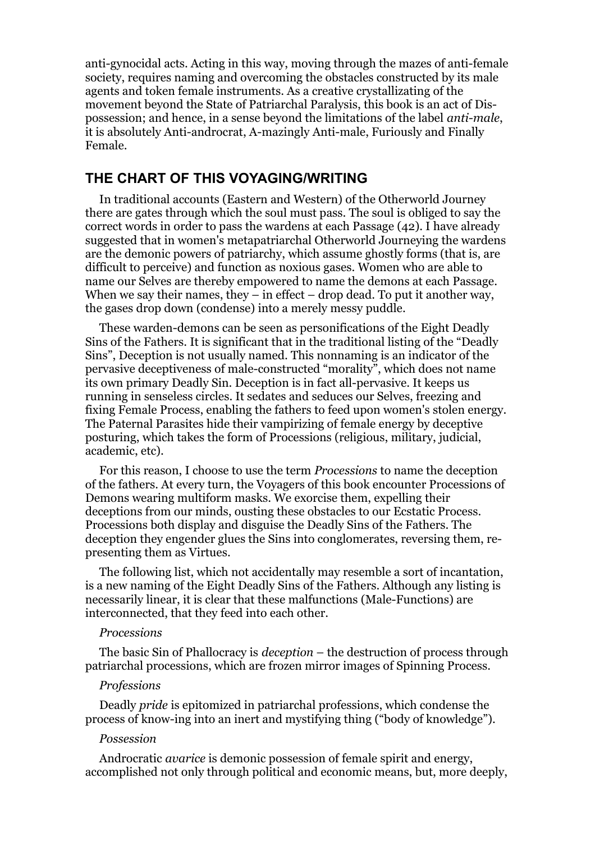anti-gynocidal acts. Acting in this way, moving through the mazes of anti-female society, requires naming and overcoming the obstacles constructed by its male agents and token female instruments. As a creative crystallizating of the movement beyond the State of Patriarchal Paralysis, this book is an act of Dispossession; and hence, in a sense beyond the limitations of the label *anti-male*, it is absolutely Anti-androcrat, A-mazingly Anti-male, Furiously and Finally Female.

### **THE CHART OF THIS VOYAGING/WRITING**

In traditional accounts (Eastern and Western) of the Otherworld Journey there are gates through which the soul must pass. The soul is obliged to say the correct words in order to pass the wardens at each Passage (42). I have already suggested that in women's metapatriarchal Otherworld Journeying the wardens are the demonic powers of patriarchy, which assume ghostly forms (that is, are difficult to perceive) and function as noxious gases. Women who are able to name our Selves are thereby empowered to name the demons at each Passage. When we say their names, they  $-$  in effect  $-$  drop dead. To put it another way, the gases drop down (condense) into a merely messy puddle.

These warden-demons can be seen as personifications of the Eight Deadly Sins of the Fathers. It is significant that in the traditional listing of the "Deadly Sins", Deception is not usually named. This nonnaming is an indicator of the pervasive deceptiveness of male-constructed "morality", which does not name its own primary Deadly Sin. Deception is in fact all-pervasive. It keeps us running in senseless circles. It sedates and seduces our Selves, freezing and fixing Female Process, enabling the fathers to feed upon women's stolen energy. The Paternal Parasites hide their vampirizing of female energy by deceptive posturing, which takes the form of Processions (religious, military, judicial, academic, etc).

For this reason, I choose to use the term *Processions* to name the deception of the fathers. At every turn, the Voyagers of this book encounter Processions of Demons wearing multiform masks. We exorcise them, expelling their deceptions from our minds, ousting these obstacles to our Ecstatic Process. Processions both display and disguise the Deadly Sins of the Fathers. The deception they engender glues the Sins into conglomerates, reversing them, representing them as Virtues.

The following list, which not accidentally may resemble a sort of incantation, is a new naming of the Eight Deadly Sins of the Fathers. Although any listing is necessarily linear, it is clear that these malfunctions (Male-Functions) are interconnected, that they feed into each other.

#### *Processions*

The basic Sin of Phallocracy is *deception* – the destruction of process through patriarchal processions, which are frozen mirror images of Spinning Process.

#### *Professions*

Deadly *pride* is epitomized in patriarchal professions, which condense the process of know-ing into an inert and mystifying thing ("body of knowledge").

#### *Possession*

Androcratic *avarice* is demonic possession of female spirit and energy, accomplished not only through political and economic means, but, more deeply,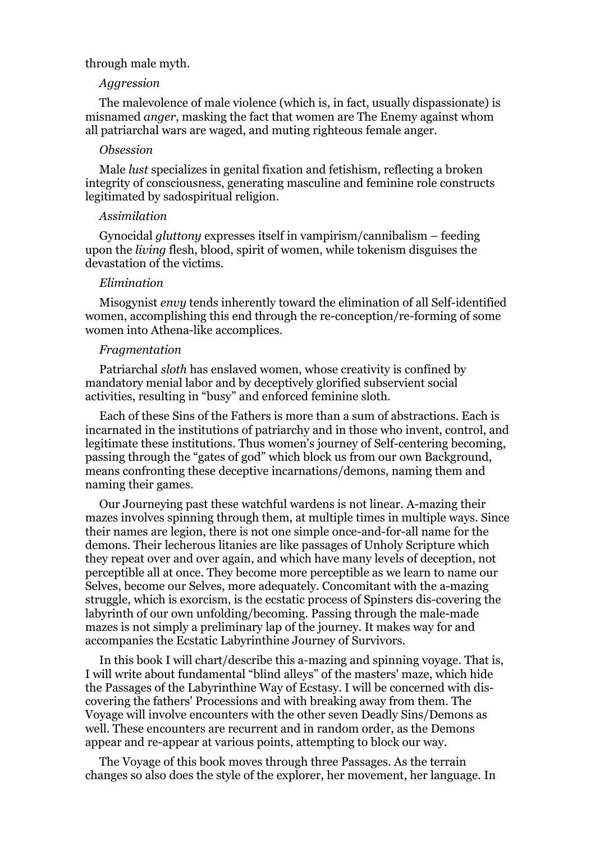#### through male myth.

#### *Aggression*

The malevolence of male violence (which is, in fact, usually dispassionate) is misnamed *anger*, masking the fact that women are The Enemy against whom all patriarchal wars are waged, and muting righteous female anger.

#### *Obsession*

Male *lust* specializes in genital fixation and fetishism, reflecting a broken integrity of consciousness, generating masculine and feminine role constructs legitimated by sadospiritual religion.

#### *Assimilation*

Gynocidal *gluttony* expresses itself in vampirism/cannibalism – feeding upon the *living* flesh, blood, spirit of women, while tokenism disguises the devastation of the victims.

#### *Elimination*

Misogynist *envy* tends inherently toward the elimination of all Self-identified women, accomplishing this end through the re-conception/re-forming of some women into Athena-like accomplices.

#### *Fragmentation*

Patriarchal *sloth* has enslaved women, whose creativity is confined by mandatory menial labor and by deceptively glorified subservient social activities, resulting in "busy" and enforced feminine sloth.

Each of these Sins of the Fathers is more than a sum of abstractions. Each is incarnated in the institutions of patriarchy and in those who invent, control, and legitimate these institutions. Thus women's journey of Self-centering becoming, passing through the "gates of god" which block us from our own Background, means confronting these deceptive incarnations/demons, naming them and naming their games.

Our Journeying past these watchful wardens is not linear. A-mazing their mazes involves spinning through them, at multiple times in multiple ways. Since their names are legion, there is not one simple once-and-for-all name for the demons. Their lecherous litanies are like passages of Unholy Scripture which they repeat over and over again, and which have many levels of deception, not perceptible all at once. They become more perceptible as we learn to name our Selves, become our Selves, more adequately. Concomitant with the a-mazing struggle, which is exorcism, is the ecstatic process of Spinsters dis-covering the labyrinth of our own unfolding/becoming. Passing through the male-made mazes is not simply a preliminary lap of the journey. It makes way for and accompanies the Ecstatic Labyrinthine Journey of Survivors.

In this book I will chart/describe this a-mazing and spinning voyage. That is, I will write about fundamental "blind alleys" of the masters' maze, which hide the Passages of the Labyrinthine Way of Ecstasy. I will be concerned with discovering the fathers' Processions and with breaking away from them. The Voyage will involve encounters with the other seven Deadly Sins/Demons as well. These encounters are recurrent and in random order, as the Demons appear and re-appear at various points, attempting to block our way.

The Voyage of this book moves through three Passages. As the terrain changes so also does the style of the explorer, her movement, her language. In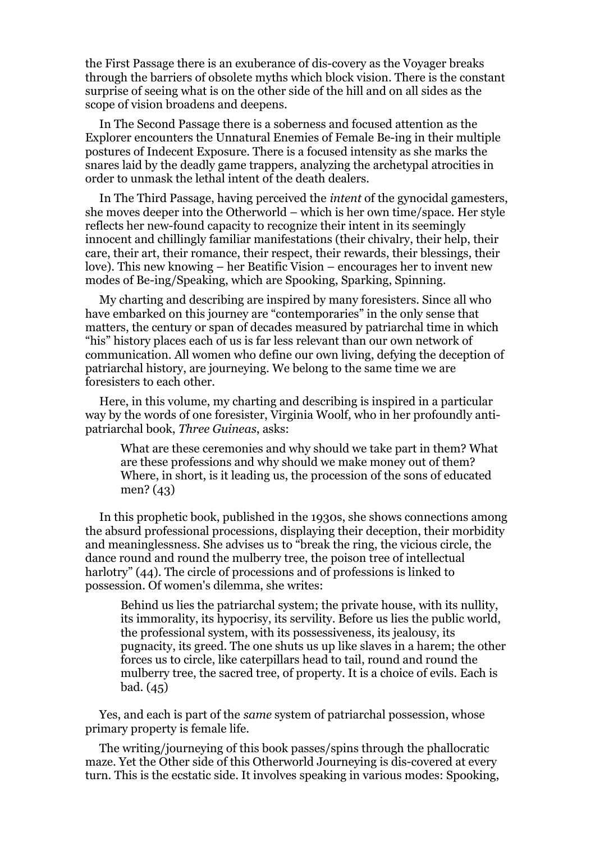the First Passage there is an exuberance of dis-covery as the Voyager breaks through the barriers of obsolete myths which block vision. There is the constant surprise of seeing what is on the other side of the hill and on all sides as the scope of vision broadens and deepens.

In The Second Passage there is a soberness and focused attention as the Explorer encounters the Unnatural Enemies of Female Be-ing in their multiple postures of Indecent Exposure. There is a focused intensity as she marks the snares laid by the deadly game trappers, analyzing the archetypal atrocities in order to unmask the lethal intent of the death dealers.

In The Third Passage, having perceived the *intent* of the gynocidal gamesters, she moves deeper into the Otherworld – which is her own time/space. Her style reflects her new-found capacity to recognize their intent in its seemingly innocent and chillingly familiar manifestations (their chivalry, their help, their care, their art, their romance, their respect, their rewards, their blessings, their love). This new knowing – her Beatific Vision – encourages her to invent new modes of Be-ing/Speaking, which are Spooking, Sparking, Spinning.

My charting and describing are inspired by many foresisters. Since all who have embarked on this journey are "contemporaries" in the only sense that matters, the century or span of decades measured by patriarchal time in which "his" history places each of us is far less relevant than our own network of communication. All women who define our own living, defying the deception of patriarchal history, are journeying. We belong to the same time we are foresisters to each other.

Here, in this volume, my charting and describing is inspired in a particular way by the words of one foresister, Virginia Woolf, who in her profoundly antipatriarchal book, *Three Guineas*, asks:

What are these ceremonies and why should we take part in them? What are these professions and why should we make money out of them? Where, in short, is it leading us, the procession of the sons of educated men? (43)

In this prophetic book, published in the 1930s, she shows connections among the absurd professional processions, displaying their deception, their morbidity and meaninglessness. She advises us to "break the ring, the vicious circle, the dance round and round the mulberry tree, the poison tree of intellectual harlotry" (44). The circle of processions and of professions is linked to possession. Of women's dilemma, she writes:

Behind us lies the patriarchal system; the private house, with its nullity, its immorality, its hypocrisy, its servility. Before us lies the public world, the professional system, with its possessiveness, its jealousy, its pugnacity, its greed. The one shuts us up like slaves in a harem; the other forces us to circle, like caterpillars head to tail, round and round the mulberry tree, the sacred tree, of property. It is a choice of evils. Each is bad. (45)

Yes, and each is part of the *same* system of patriarchal possession, whose primary property is female life.

The writing/journeying of this book passes/spins through the phallocratic maze. Yet the Other side of this Otherworld Journeying is dis-covered at every turn. This is the ecstatic side. It involves speaking in various modes: Spooking,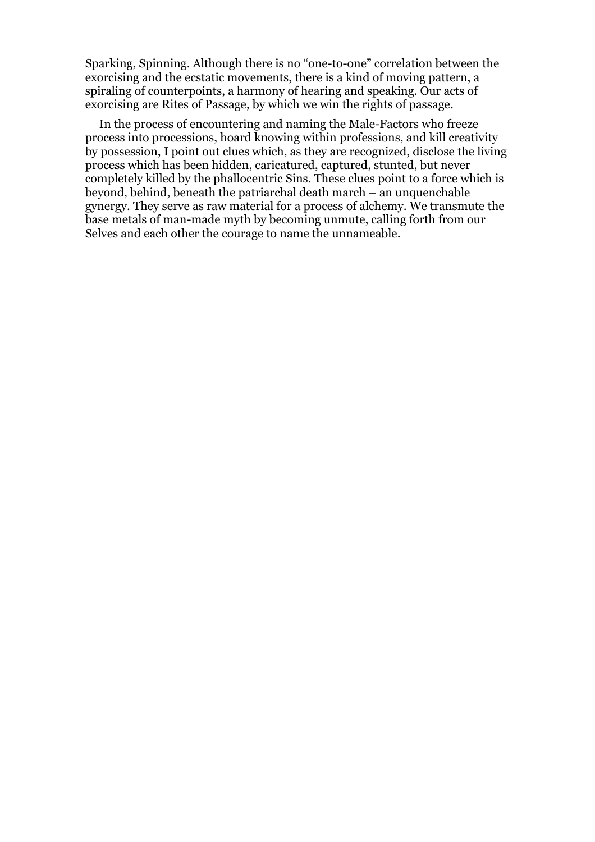Sparking, Spinning. Although there is no "one-to-one" correlation between the exorcising and the ecstatic movements, there is a kind of moving pattern, a spiraling of counterpoints, a harmony of hearing and speaking. Our acts of exorcising are Rites of Passage, by which we win the rights of passage.

In the process of encountering and naming the Male-Factors who freeze process into processions, hoard knowing within professions, and kill creativity by possession, I point out clues which, as they are recognized, disclose the living process which has been hidden, caricatured, captured, stunted, but never completely killed by the phallocentric Sins. These clues point to a force which is beyond, behind, beneath the patriarchal death march – an unquenchable gynergy. They serve as raw material for a process of alchemy. We transmute the base metals of man-made myth by becoming unmute, calling forth from our Selves and each other the courage to name the unnameable.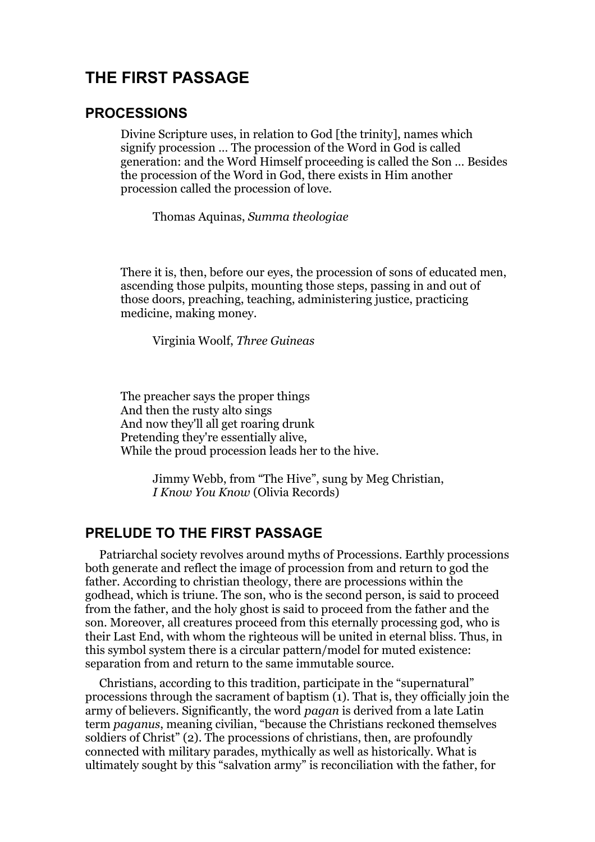## **THE FIRST PASSAGE**

### **PROCESSIONS**

Divine Scripture uses, in relation to God [the trinity], names which signify procession … The procession of the Word in God is called generation: and the Word Himself proceeding is called the Son … Besides the procession of the Word in God, there exists in Him another procession called the procession of love.

Thomas Aquinas, *Summa theologiae*

There it is, then, before our eyes, the procession of sons of educated men, ascending those pulpits, mounting those steps, passing in and out of those doors, preaching, teaching, administering justice, practicing medicine, making money.

Virginia Woolf, *Three Guineas*

The preacher says the proper things And then the rusty alto sings And now they'll all get roaring drunk Pretending they're essentially alive, While the proud procession leads her to the hive.

> Jimmy Webb, from "The Hive", sung by Meg Christian, *I Know You Know* (Olivia Records)

## **PRELUDE TO THE FIRST PASSAGE**

Patriarchal society revolves around myths of Processions. Earthly processions both generate and reflect the image of procession from and return to god the father. According to christian theology, there are processions within the godhead, which is triune. The son, who is the second person, is said to proceed from the father, and the holy ghost is said to proceed from the father and the son. Moreover, all creatures proceed from this eternally processing god, who is their Last End, with whom the righteous will be united in eternal bliss. Thus, in this symbol system there is a circular pattern/model for muted existence: separation from and return to the same immutable source.

Christians, according to this tradition, participate in the "supernatural" processions through the sacrament of baptism (1). That is, they officially join the army of believers. Significantly, the word *pagan* is derived from a late Latin term *paganus*, meaning civilian, "because the Christians reckoned themselves soldiers of Christ" (2). The processions of christians, then, are profoundly connected with military parades, mythically as well as historically. What is ultimately sought by this "salvation army" is reconciliation with the father, for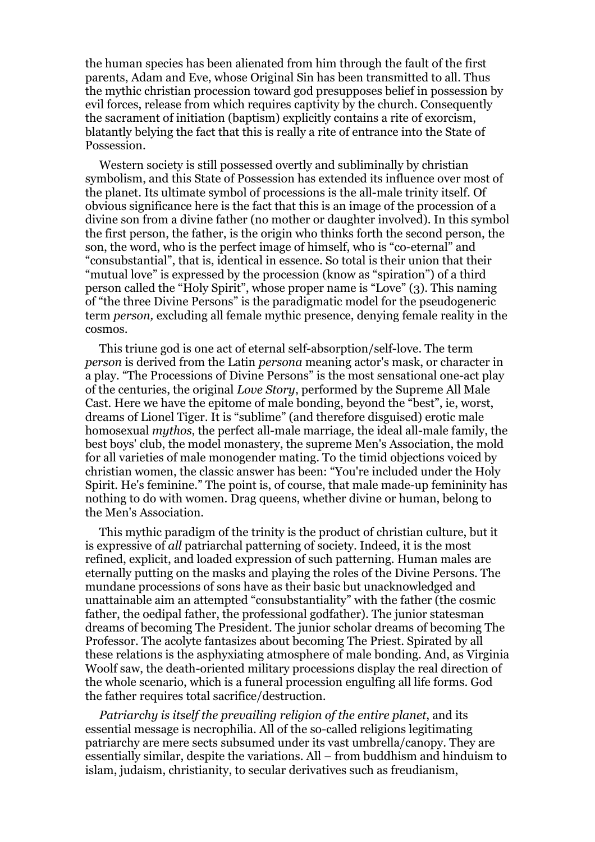the human species has been alienated from him through the fault of the first parents, Adam and Eve, whose Original Sin has been transmitted to all. Thus the mythic christian procession toward god presupposes belief in possession by evil forces, release from which requires captivity by the church. Consequently the sacrament of initiation (baptism) explicitly contains a rite of exorcism, blatantly belying the fact that this is really a rite of entrance into the State of Possession.

Western society is still possessed overtly and subliminally by christian symbolism, and this State of Possession has extended its influence over most of the planet. Its ultimate symbol of processions is the all-male trinity itself. Of obvious significance here is the fact that this is an image of the procession of a divine son from a divine father (no mother or daughter involved). In this symbol the first person, the father, is the origin who thinks forth the second person, the son, the word, who is the perfect image of himself, who is "co-eternal" and "consubstantial", that is, identical in essence. So total is their union that their "mutual love" is expressed by the procession (know as "spiration") of a third person called the "Holy Spirit", whose proper name is "Love" (3). This naming of "the three Divine Persons" is the paradigmatic model for the pseudogeneric term *person,* excluding all female mythic presence, denying female reality in the cosmos.

This triune god is one act of eternal self-absorption/self-love. The term *person* is derived from the Latin *persona* meaning actor's mask, or character in a play. "The Processions of Divine Persons" is the most sensational one-act play of the centuries, the original *Love Story*, performed by the Supreme All Male Cast. Here we have the epitome of male bonding, beyond the "best", ie, worst, dreams of Lionel Tiger. It is "sublime" (and therefore disguised) erotic male homosexual *mythos*, the perfect all-male marriage, the ideal all-male family, the best boys' club, the model monastery, the supreme Men's Association, the mold for all varieties of male monogender mating. To the timid objections voiced by christian women, the classic answer has been: "You're included under the Holy Spirit. He's feminine." The point is, of course, that male made-up femininity has nothing to do with women. Drag queens, whether divine or human, belong to the Men's Association.

This mythic paradigm of the trinity is the product of christian culture, but it is expressive of *all* patriarchal patterning of society. Indeed, it is the most refined, explicit, and loaded expression of such patterning. Human males are eternally putting on the masks and playing the roles of the Divine Persons. The mundane processions of sons have as their basic but unacknowledged and unattainable aim an attempted "consubstantiality" with the father (the cosmic father, the oedipal father, the professional godfather). The junior statesman dreams of becoming The President. The junior scholar dreams of becoming The Professor. The acolyte fantasizes about becoming The Priest. Spirated by all these relations is the asphyxiating atmosphere of male bonding. And, as Virginia Woolf saw, the death-oriented military processions display the real direction of the whole scenario, which is a funeral procession engulfing all life forms. God the father requires total sacrifice/destruction.

*Patriarchy is itself the prevailing religion of the entire planet*, and its essential message is necrophilia. All of the so-called religions legitimating patriarchy are mere sects subsumed under its vast umbrella/canopy. They are essentially similar, despite the variations. All – from buddhism and hinduism to islam, judaism, christianity, to secular derivatives such as freudianism,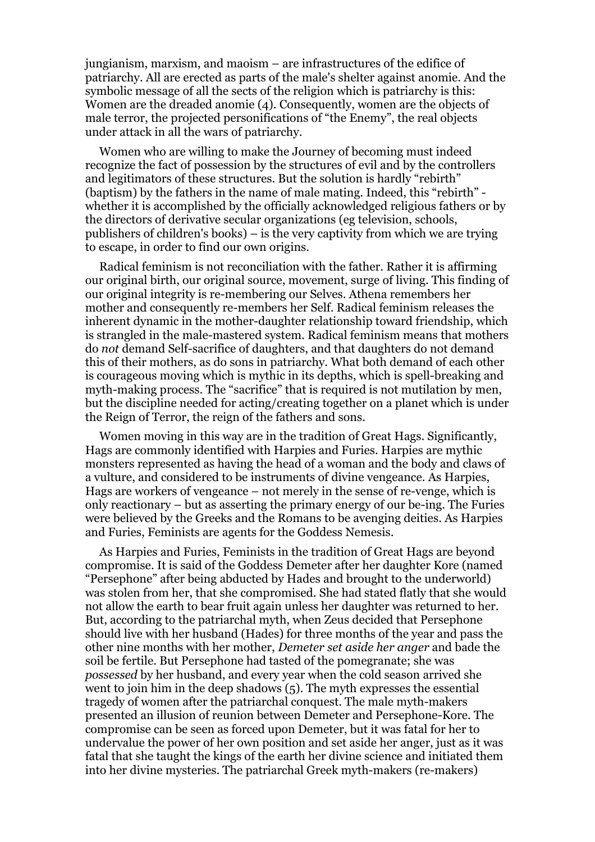jungianism, marxism, and maoism – are infrastructures of the edifice of patriarchy. All are erected as parts of the male's shelter against anomie. And the symbolic message of all the sects of the religion which is patriarchy is this: Women are the dreaded anomie (4). Consequently, women are the objects of male terror, the projected personifications of "the Enemy", the real objects under attack in all the wars of patriarchy.

Women who are willing to make the Journey of becoming must indeed recognize the fact of possession by the structures of evil and by the controllers and legitimators of these structures. But the solution is hardly "rebirth" (baptism) by the fathers in the name of male mating. Indeed, this "rebirth" whether it is accomplished by the officially acknowledged religious fathers or by the directors of derivative secular organizations (eg television, schools, publishers of children's books) – is the very captivity from which we are trying to escape, in order to find our own origins.

Radical feminism is not reconciliation with the father. Rather it is affirming our original birth, our original source, movement, surge of living. This finding of our original integrity is re-membering our Selves. Athena remembers her mother and consequently re-members her Self. Radical feminism releases the inherent dynamic in the mother-daughter relationship toward friendship, which is strangled in the male-mastered system. Radical feminism means that mothers do *not* demand Self-sacrifice of daughters, and that daughters do not demand this of their mothers, as do sons in patriarchy. What both demand of each other is courageous moving which is mythic in its depths, which is spell-breaking and myth-making process. The "sacrifice" that is required is not mutilation by men, but the discipline needed for acting/creating together on a planet which is under the Reign of Terror, the reign of the fathers and sons.

Women moving in this way are in the tradition of Great Hags. Significantly, Hags are commonly identified with Harpies and Furies. Harpies are mythic monsters represented as having the head of a woman and the body and claws of a vulture, and considered to be instruments of divine vengeance. As Harpies, Hags are workers of vengeance – not merely in the sense of re-venge, which is only reactionary – but as asserting the primary energy of our be-ing. The Furies were believed by the Greeks and the Romans to be avenging deities. As Harpies and Furies, Feminists are agents for the Goddess Nemesis.

As Harpies and Furies, Feminists in the tradition of Great Hags are beyond compromise. It is said of the Goddess Demeter after her daughter Kore (named "Persephone" after being abducted by Hades and brought to the underworld) was stolen from her, that she compromised. She had stated flatly that she would not allow the earth to bear fruit again unless her daughter was returned to her. But, according to the patriarchal myth, when Zeus decided that Persephone should live with her husband (Hades) for three months of the year and pass the other nine months with her mother, *Demeter set aside her anger* and bade the soil be fertile. But Persephone had tasted of the pomegranate; she was *possessed* by her husband, and every year when the cold season arrived she went to join him in the deep shadows (5). The myth expresses the essential tragedy of women after the patriarchal conquest. The male myth-makers presented an illusion of reunion between Demeter and Persephone-Kore. The compromise can be seen as forced upon Demeter, but it was fatal for her to undervalue the power of her own position and set aside her anger, just as it was fatal that she taught the kings of the earth her divine science and initiated them into her divine mysteries. The patriarchal Greek myth-makers (re-makers)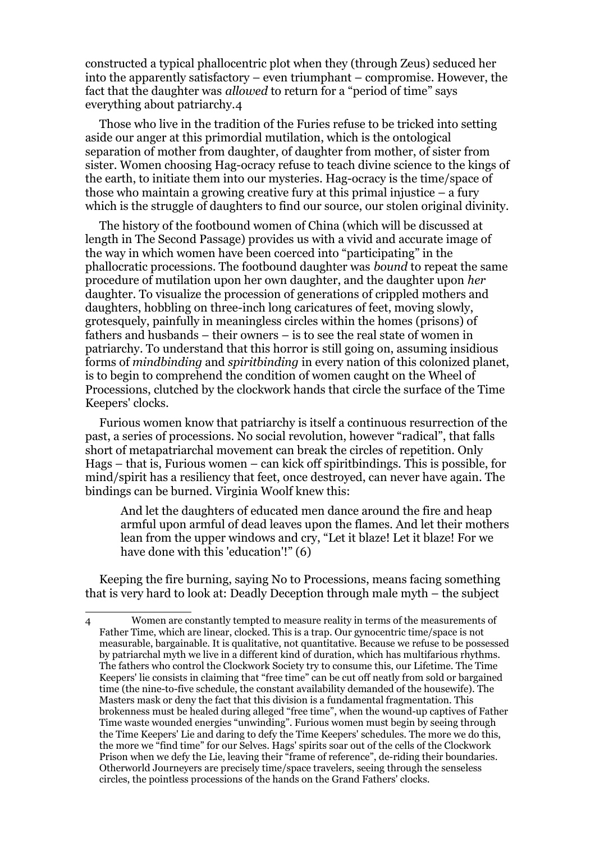constructed a typical phallocentric plot when they (through Zeus) seduced her into the apparently satisfactory – even triumphant – compromise. However, the fact that the daughter was *allowed* to return for a "period of time" says everything about patriarchy[.4](#page-30-0)

Those who live in the tradition of the Furies refuse to be tricked into setting aside our anger at this primordial mutilation, which is the ontological separation of mother from daughter, of daughter from mother, of sister from sister. Women choosing Hag-ocracy refuse to teach divine science to the kings of the earth, to initiate them into our mysteries. Hag-ocracy is the time/space of those who maintain a growing creative fury at this primal injustice  $-$  a fury which is the struggle of daughters to find our source, our stolen original divinity.

The history of the footbound women of China (which will be discussed at length in The Second Passage) provides us with a vivid and accurate image of the way in which women have been coerced into "participating" in the phallocratic processions. The footbound daughter was *bound* to repeat the same procedure of mutilation upon her own daughter, and the daughter upon *her*  daughter. To visualize the procession of generations of crippled mothers and daughters, hobbling on three-inch long caricatures of feet, moving slowly, grotesquely, painfully in meaningless circles within the homes (prisons) of fathers and husbands – their owners – is to see the real state of women in patriarchy. To understand that this horror is still going on, assuming insidious forms of *mindbinding* and *spiritbinding* in every nation of this colonized planet, is to begin to comprehend the condition of women caught on the Wheel of Processions, clutched by the clockwork hands that circle the surface of the Time Keepers' clocks.

Furious women know that patriarchy is itself a continuous resurrection of the past, a series of processions. No social revolution, however "radical", that falls short of metapatriarchal movement can break the circles of repetition. Only Hags – that is, Furious women – can kick off spiritbindings. This is possible, for mind/spirit has a resiliency that feet, once destroyed, can never have again. The bindings can be burned. Virginia Woolf knew this:

And let the daughters of educated men dance around the fire and heap armful upon armful of dead leaves upon the flames. And let their mothers lean from the upper windows and cry, "Let it blaze! Let it blaze! For we have done with this 'education'!" (6)

Keeping the fire burning, saying No to Processions, means facing something that is very hard to look at: Deadly Deception through male myth – the subject

<span id="page-30-0"></span><sup>4</sup> Women are constantly tempted to measure reality in terms of the measurements of Father Time, which are linear, clocked. This is a trap. Our gynocentric time/space is not measurable, bargainable. It is qualitative, not quantitative. Because we refuse to be possessed by patriarchal myth we live in a different kind of duration, which has multifarious rhythms. The fathers who control the Clockwork Society try to consume this, our Lifetime. The Time Keepers' lie consists in claiming that "free time" can be cut off neatly from sold or bargained time (the nine-to-five schedule, the constant availability demanded of the housewife). The Masters mask or deny the fact that this division is a fundamental fragmentation. This brokenness must be healed during alleged "free time", when the wound-up captives of Father Time waste wounded energies "unwinding". Furious women must begin by seeing through the Time Keepers' Lie and daring to defy the Time Keepers' schedules. The more we do this, the more we "find time" for our Selves. Hags' spirits soar out of the cells of the Clockwork Prison when we defy the Lie, leaving their "frame of reference", de-riding their boundaries. Otherworld Journeyers are precisely time/space travelers, seeing through the senseless circles, the pointless processions of the hands on the Grand Fathers' clocks.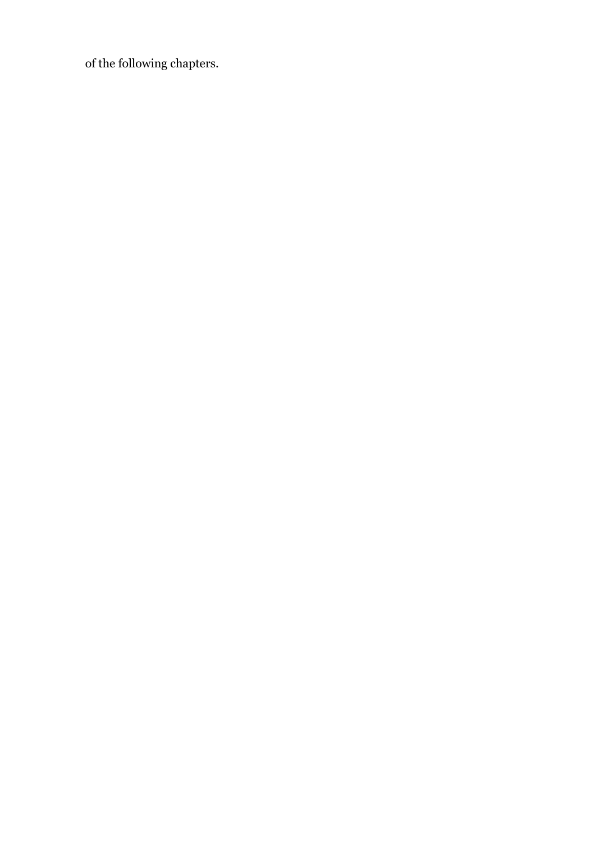of the following chapters.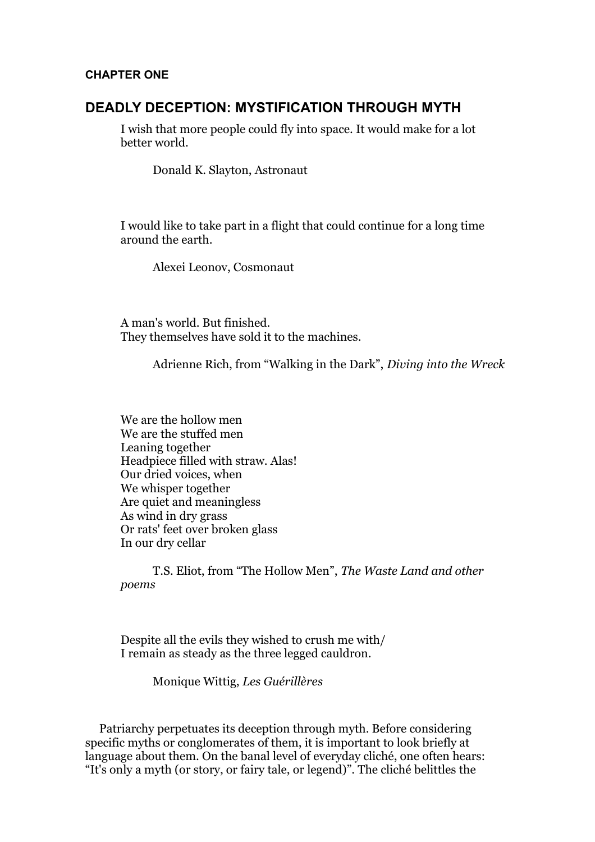#### **CHAPTER ONE**

## **DEADLY DECEPTION: MYSTIFICATION THROUGH MYTH**

I wish that more people could fly into space. It would make for a lot better world.

Donald K. Slayton, Astronaut

I would like to take part in a flight that could continue for a long time around the earth.

Alexei Leonov, Cosmonaut

A man's world. But finished. They themselves have sold it to the machines.

Adrienne Rich, from "Walking in the Dark", *Diving into the Wreck*

We are the hollow men We are the stuffed men Leaning together Headpiece filled with straw. Alas! Our dried voices, when We whisper together Are quiet and meaningless As wind in dry grass Or rats' feet over broken glass In our dry cellar

T.S. Eliot, from "The Hollow Men", *The Waste Land and other poems*

Despite all the evils they wished to crush me with/ I remain as steady as the three legged cauldron.

Monique Wittig, *Les Guérillères*

Patriarchy perpetuates its deception through myth. Before considering specific myths or conglomerates of them, it is important to look briefly at language about them. On the banal level of everyday cliché, one often hears: "It's only a myth (or story, or fairy tale, or legend)". The cliché belittles the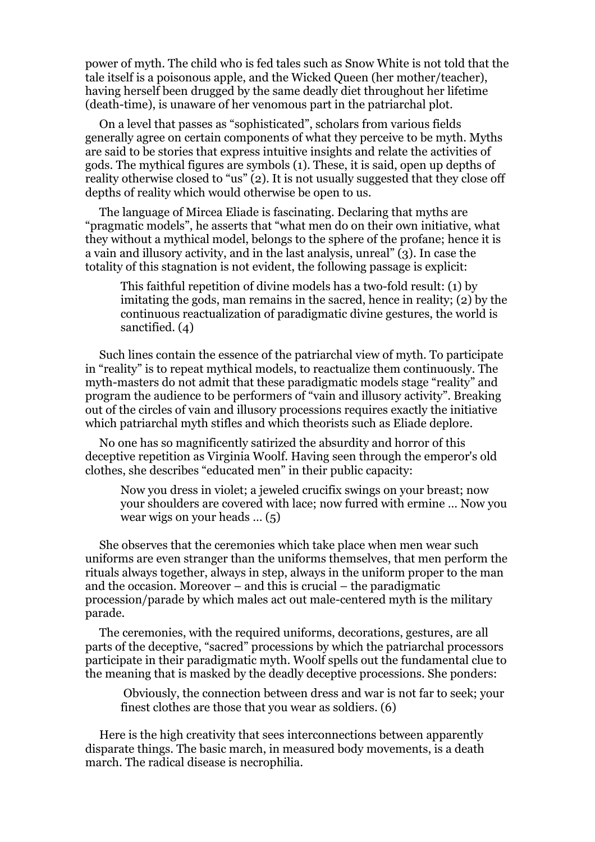power of myth. The child who is fed tales such as Snow White is not told that the tale itself is a poisonous apple, and the Wicked Queen (her mother/teacher), having herself been drugged by the same deadly diet throughout her lifetime (death-time), is unaware of her venomous part in the patriarchal plot.

On a level that passes as "sophisticated", scholars from various fields generally agree on certain components of what they perceive to be myth. Myths are said to be stories that express intuitive insights and relate the activities of gods. The mythical figures are symbols (1). These, it is said, open up depths of reality otherwise closed to "us" (2). It is not usually suggested that they close off depths of reality which would otherwise be open to us.

The language of Mircea Eliade is fascinating. Declaring that myths are "pragmatic models", he asserts that "what men do on their own initiative, what they without a mythical model, belongs to the sphere of the profane; hence it is a vain and illusory activity, and in the last analysis, unreal" (3). In case the totality of this stagnation is not evident, the following passage is explicit:

This faithful repetition of divine models has a two-fold result: (1) by imitating the gods, man remains in the sacred, hence in reality; (2) by the continuous reactualization of paradigmatic divine gestures, the world is sanctified. (4)

Such lines contain the essence of the patriarchal view of myth. To participate in "reality" is to repeat mythical models, to reactualize them continuously. The myth-masters do not admit that these paradigmatic models stage "reality" and program the audience to be performers of "vain and illusory activity". Breaking out of the circles of vain and illusory processions requires exactly the initiative which patriarchal myth stifles and which theorists such as Eliade deplore.

No one has so magnificently satirized the absurdity and horror of this deceptive repetition as Virginia Woolf. Having seen through the emperor's old clothes, she describes "educated men" in their public capacity:

Now you dress in violet; a jeweled crucifix swings on your breast; now your shoulders are covered with lace; now furred with ermine … Now you wear wigs on your heads … (5)

She observes that the ceremonies which take place when men wear such uniforms are even stranger than the uniforms themselves, that men perform the rituals always together, always in step, always in the uniform proper to the man and the occasion. Moreover – and this is crucial – the paradigmatic procession/parade by which males act out male-centered myth is the military parade.

The ceremonies, with the required uniforms, decorations, gestures, are all parts of the deceptive, "sacred" processions by which the patriarchal processors participate in their paradigmatic myth. Woolf spells out the fundamental clue to the meaning that is masked by the deadly deceptive processions. She ponders:

 Obviously, the connection between dress and war is not far to seek; your finest clothes are those that you wear as soldiers. (6)

Here is the high creativity that sees interconnections between apparently disparate things. The basic march, in measured body movements, is a death march. The radical disease is necrophilia.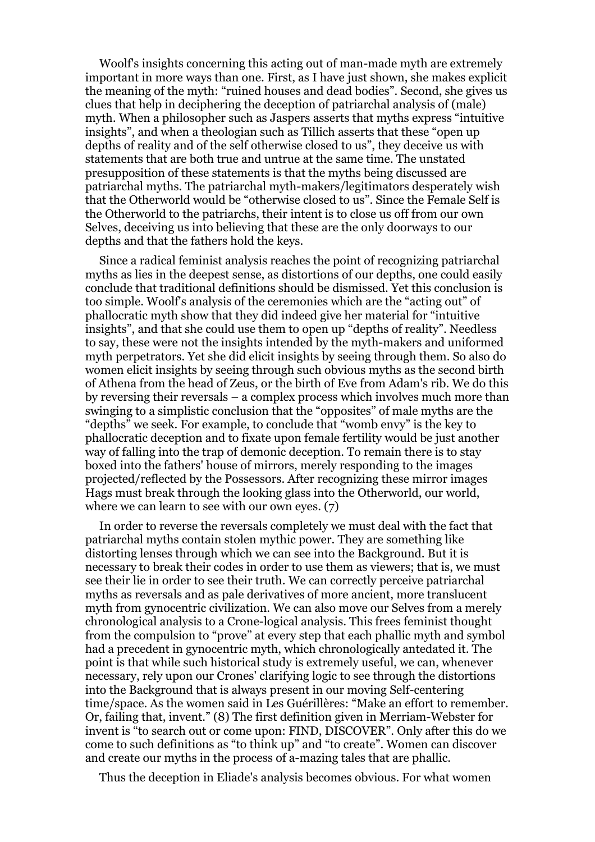Woolf's insights concerning this acting out of man-made myth are extremely important in more ways than one. First, as I have just shown, she makes explicit the meaning of the myth: "ruined houses and dead bodies". Second, she gives us clues that help in deciphering the deception of patriarchal analysis of (male) myth. When a philosopher such as Jaspers asserts that myths express "intuitive insights", and when a theologian such as Tillich asserts that these "open up depths of reality and of the self otherwise closed to us", they deceive us with statements that are both true and untrue at the same time. The unstated presupposition of these statements is that the myths being discussed are patriarchal myths. The patriarchal myth-makers/legitimators desperately wish that the Otherworld would be "otherwise closed to us". Since the Female Self is the Otherworld to the patriarchs, their intent is to close us off from our own Selves, deceiving us into believing that these are the only doorways to our depths and that the fathers hold the keys.

Since a radical feminist analysis reaches the point of recognizing patriarchal myths as lies in the deepest sense, as distortions of our depths, one could easily conclude that traditional definitions should be dismissed. Yet this conclusion is too simple. Woolf's analysis of the ceremonies which are the "acting out" of phallocratic myth show that they did indeed give her material for "intuitive insights", and that she could use them to open up "depths of reality". Needless to say, these were not the insights intended by the myth-makers and uniformed myth perpetrators. Yet she did elicit insights by seeing through them. So also do women elicit insights by seeing through such obvious myths as the second birth of Athena from the head of Zeus, or the birth of Eve from Adam's rib. We do this by reversing their reversals – a complex process which involves much more than swinging to a simplistic conclusion that the "opposites" of male myths are the "depths" we seek. For example, to conclude that "womb envy" is the key to phallocratic deception and to fixate upon female fertility would be just another way of falling into the trap of demonic deception. To remain there is to stay boxed into the fathers' house of mirrors, merely responding to the images projected/reflected by the Possessors. After recognizing these mirror images Hags must break through the looking glass into the Otherworld, our world, where we can learn to see with our own eyes. (7)

In order to reverse the reversals completely we must deal with the fact that patriarchal myths contain stolen mythic power. They are something like distorting lenses through which we can see into the Background. But it is necessary to break their codes in order to use them as viewers; that is, we must see their lie in order to see their truth. We can correctly perceive patriarchal myths as reversals and as pale derivatives of more ancient, more translucent myth from gynocentric civilization. We can also move our Selves from a merely chronological analysis to a Crone-logical analysis. This frees feminist thought from the compulsion to "prove" at every step that each phallic myth and symbol had a precedent in gynocentric myth, which chronologically antedated it. The point is that while such historical study is extremely useful, we can, whenever necessary, rely upon our Crones' clarifying logic to see through the distortions into the Background that is always present in our moving Self-centering time/space. As the women said in Les Guérillères: "Make an effort to remember. Or, failing that, invent." (8) The first definition given in Merriam-Webster for invent is "to search out or come upon: FIND, DISCOVER". Only after this do we come to such definitions as "to think up" and "to create". Women can discover and create our myths in the process of a-mazing tales that are phallic.

Thus the deception in Eliade's analysis becomes obvious. For what women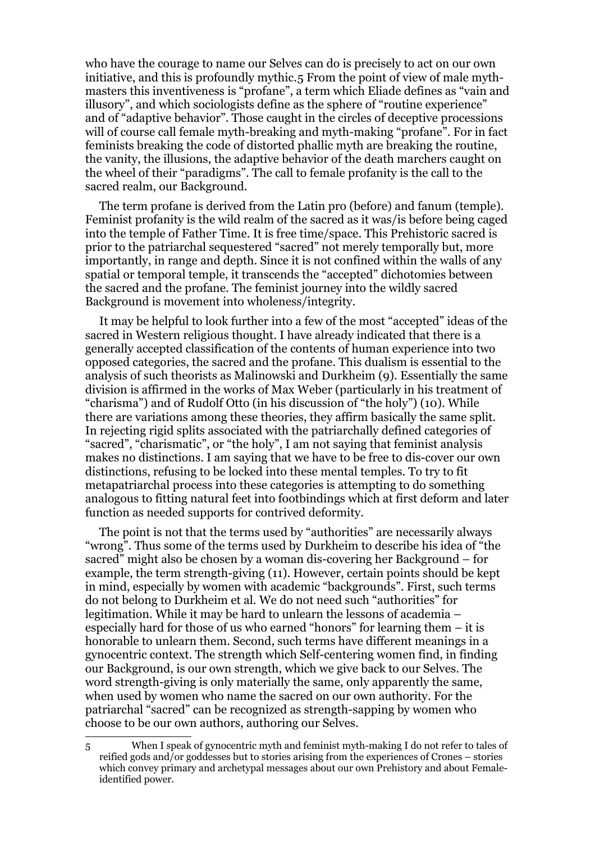who have the courage to name our Selves can do is precisely to act on our own initiative, and this is profoundly mythic[.5](#page-35-0) From the point of view of male mythmasters this inventiveness is "profane", a term which Eliade defines as "vain and illusory", and which sociologists define as the sphere of "routine experience" and of "adaptive behavior". Those caught in the circles of deceptive processions will of course call female myth-breaking and myth-making "profane". For in fact feminists breaking the code of distorted phallic myth are breaking the routine, the vanity, the illusions, the adaptive behavior of the death marchers caught on the wheel of their "paradigms". The call to female profanity is the call to the sacred realm, our Background.

The term profane is derived from the Latin pro (before) and fanum (temple). Feminist profanity is the wild realm of the sacred as it was/is before being caged into the temple of Father Time. It is free time/space. This Prehistoric sacred is prior to the patriarchal sequestered "sacred" not merely temporally but, more importantly, in range and depth. Since it is not confined within the walls of any spatial or temporal temple, it transcends the "accepted" dichotomies between the sacred and the profane. The feminist journey into the wildly sacred Background is movement into wholeness/integrity.

It may be helpful to look further into a few of the most "accepted" ideas of the sacred in Western religious thought. I have already indicated that there is a generally accepted classification of the contents of human experience into two opposed categories, the sacred and the profane. This dualism is essential to the analysis of such theorists as Malinowski and Durkheim (9). Essentially the same division is affirmed in the works of Max Weber (particularly in his treatment of "charisma") and of Rudolf Otto (in his discussion of "the holy") (10). While there are variations among these theories, they affirm basically the same split. In rejecting rigid splits associated with the patriarchally defined categories of "sacred", "charismatic", or "the holy", I am not saying that feminist analysis makes no distinctions. I am saying that we have to be free to dis-cover our own distinctions, refusing to be locked into these mental temples. To try to fit metapatriarchal process into these categories is attempting to do something analogous to fitting natural feet into footbindings which at first deform and later function as needed supports for contrived deformity.

The point is not that the terms used by "authorities" are necessarily always "wrong". Thus some of the terms used by Durkheim to describe his idea of "the sacred" might also be chosen by a woman dis-covering her Background – for example, the term strength-giving (11). However, certain points should be kept in mind, especially by women with academic "backgrounds". First, such terms do not belong to Durkheim et al. We do not need such "authorities" for legitimation. While it may be hard to unlearn the lessons of academia – especially hard for those of us who earned "honors" for learning them – it is honorable to unlearn them. Second, such terms have different meanings in a gynocentric context. The strength which Self-centering women find, in finding our Background, is our own strength, which we give back to our Selves. The word strength-giving is only materially the same, only apparently the same, when used by women who name the sacred on our own authority. For the patriarchal "sacred" can be recognized as strength-sapping by women who choose to be our own authors, authoring our Selves.

<span id="page-35-0"></span><sup>5</sup> When I speak of gynocentric myth and feminist myth-making I do not refer to tales of reified gods and/or goddesses but to stories arising from the experiences of Crones – stories which convey primary and archetypal messages about our own Prehistory and about Femaleidentified power.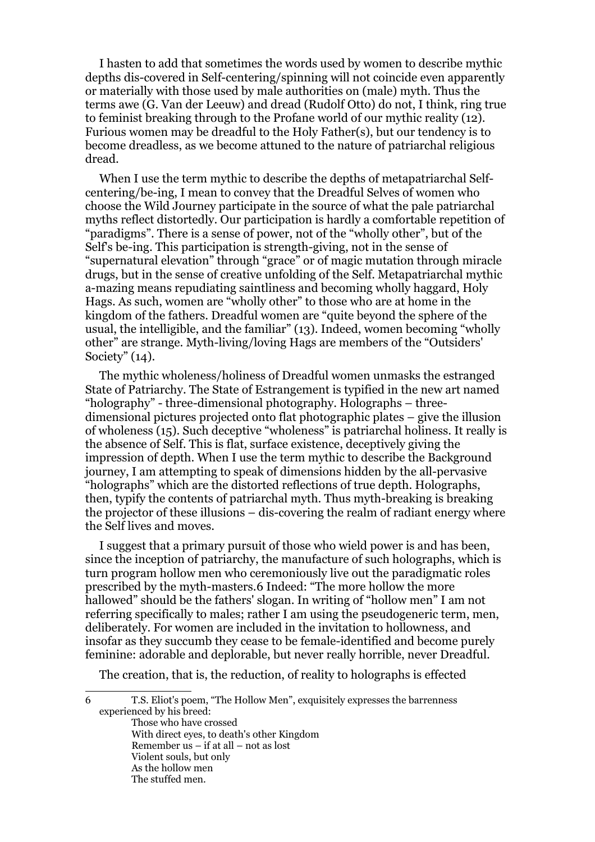I hasten to add that sometimes the words used by women to describe mythic depths dis-covered in Self-centering/spinning will not coincide even apparently or materially with those used by male authorities on (male) myth. Thus the terms awe (G. Van der Leeuw) and dread (Rudolf Otto) do not, I think, ring true to feminist breaking through to the Profane world of our mythic reality (12). Furious women may be dreadful to the Holy Father(s), but our tendency is to become dreadless, as we become attuned to the nature of patriarchal religious dread.

When I use the term mythic to describe the depths of metapatriarchal Selfcentering/be-ing, I mean to convey that the Dreadful Selves of women who choose the Wild Journey participate in the source of what the pale patriarchal myths reflect distortedly. Our participation is hardly a comfortable repetition of "paradigms". There is a sense of power, not of the "wholly other", but of the Self's be-ing. This participation is strength-giving, not in the sense of "supernatural elevation" through "grace" or of magic mutation through miracle drugs, but in the sense of creative unfolding of the Self. Metapatriarchal mythic a-mazing means repudiating saintliness and becoming wholly haggard, Holy Hags. As such, women are "wholly other" to those who are at home in the kingdom of the fathers. Dreadful women are "quite beyond the sphere of the usual, the intelligible, and the familiar" (13). Indeed, women becoming "wholly other" are strange. Myth-living/loving Hags are members of the "Outsiders' Society" (14).

The mythic wholeness/holiness of Dreadful women unmasks the estranged State of Patriarchy. The State of Estrangement is typified in the new art named "holography" - three-dimensional photography. Holographs – threedimensional pictures projected onto flat photographic plates – give the illusion of wholeness (15). Such deceptive "wholeness" is patriarchal holiness. It really is the absence of Self. This is flat, surface existence, deceptively giving the impression of depth. When I use the term mythic to describe the Background journey, I am attempting to speak of dimensions hidden by the all-pervasive "holographs" which are the distorted reflections of true depth. Holographs, then, typify the contents of patriarchal myth. Thus myth-breaking is breaking the projector of these illusions – dis-covering the realm of radiant energy where the Self lives and moves.

I suggest that a primary pursuit of those who wield power is and has been, since the inception of patriarchy, the manufacture of such holographs, which is turn program hollow men who ceremoniously live out the paradigmatic roles prescribed by the myth-masters[.6](#page-36-0) Indeed: "The more hollow the more hallowed" should be the fathers' slogan. In writing of "hollow men" I am not referring specifically to males; rather I am using the pseudogeneric term, men, deliberately. For women are included in the invitation to hollowness, and insofar as they succumb they cease to be female-identified and become purely feminine: adorable and deplorable, but never really horrible, never Dreadful.

The creation, that is, the reduction, of reality to holographs is effected

<span id="page-36-0"></span>6 T.S. Eliot's poem, "The Hollow Men", exquisitely expresses the barrenness experienced by his breed: Those who have crossed With direct eyes, to death's other Kingdom Remember us – if at all – not as lost Violent souls, but only As the hollow men The stuffed men.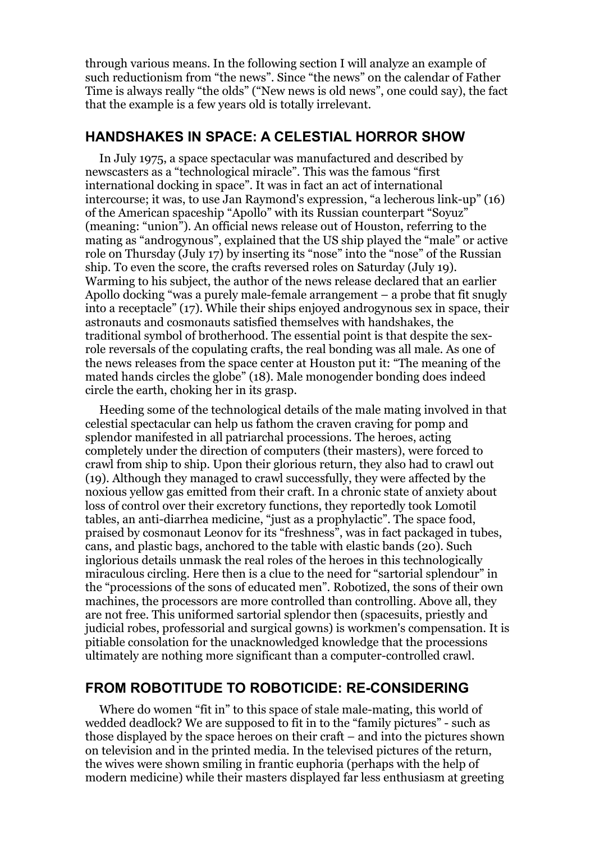through various means. In the following section I will analyze an example of such reductionism from "the news". Since "the news" on the calendar of Father Time is always really "the olds" ("New news is old news", one could say), the fact that the example is a few years old is totally irrelevant.

### **HANDSHAKES IN SPACE: A CELESTIAL HORROR SHOW**

In July 1975, a space spectacular was manufactured and described by newscasters as a "technological miracle". This was the famous "first international docking in space". It was in fact an act of international intercourse; it was, to use Jan Raymond's expression, "a lecherous link-up" (16) of the American spaceship "Apollo" with its Russian counterpart "Soyuz" (meaning: "union"). An official news release out of Houston, referring to the mating as "androgynous", explained that the US ship played the "male" or active role on Thursday (July 17) by inserting its "nose" into the "nose" of the Russian ship. To even the score, the crafts reversed roles on Saturday (July 19). Warming to his subject, the author of the news release declared that an earlier Apollo docking "was a purely male-female arrangement – a probe that fit snugly into a receptacle" (17). While their ships enjoyed androgynous sex in space, their astronauts and cosmonauts satisfied themselves with handshakes, the traditional symbol of brotherhood. The essential point is that despite the sexrole reversals of the copulating crafts, the real bonding was all male. As one of the news releases from the space center at Houston put it: "The meaning of the mated hands circles the globe" (18). Male monogender bonding does indeed circle the earth, choking her in its grasp.

Heeding some of the technological details of the male mating involved in that celestial spectacular can help us fathom the craven craving for pomp and splendor manifested in all patriarchal processions. The heroes, acting completely under the direction of computers (their masters), were forced to crawl from ship to ship. Upon their glorious return, they also had to crawl out (19). Although they managed to crawl successfully, they were affected by the noxious yellow gas emitted from their craft. In a chronic state of anxiety about loss of control over their excretory functions, they reportedly took Lomotil tables, an anti-diarrhea medicine, "just as a prophylactic". The space food, praised by cosmonaut Leonov for its "freshness", was in fact packaged in tubes, cans, and plastic bags, anchored to the table with elastic bands (20). Such inglorious details unmask the real roles of the heroes in this technologically miraculous circling. Here then is a clue to the need for "sartorial splendour" in the "processions of the sons of educated men". Robotized, the sons of their own machines, the processors are more controlled than controlling. Above all, they are not free. This uniformed sartorial splendor then (spacesuits, priestly and judicial robes, professorial and surgical gowns) is workmen's compensation. It is pitiable consolation for the unacknowledged knowledge that the processions ultimately are nothing more significant than a computer-controlled crawl.

## **FROM ROBOTITUDE TO ROBOTICIDE: RE-CONSIDERING**

Where do women "fit in" to this space of stale male-mating, this world of wedded deadlock? We are supposed to fit in to the "family pictures" - such as those displayed by the space heroes on their craft – and into the pictures shown on television and in the printed media. In the televised pictures of the return, the wives were shown smiling in frantic euphoria (perhaps with the help of modern medicine) while their masters displayed far less enthusiasm at greeting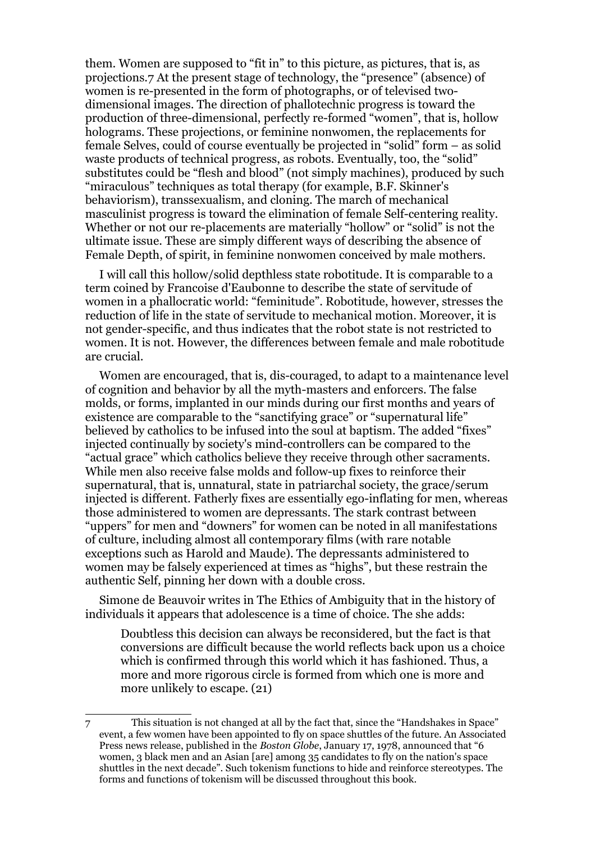them. Women are supposed to "fit in" to this picture, as pictures, that is, as projections[.7](#page-38-0) At the present stage of technology, the "presence" (absence) of women is re-presented in the form of photographs, or of televised twodimensional images. The direction of phallotechnic progress is toward the production of three-dimensional, perfectly re-formed "women", that is, hollow holograms. These projections, or feminine nonwomen, the replacements for female Selves, could of course eventually be projected in "solid" form – as solid waste products of technical progress, as robots. Eventually, too, the "solid" substitutes could be "flesh and blood" (not simply machines), produced by such "miraculous" techniques as total therapy (for example, B.F. Skinner's behaviorism), transsexualism, and cloning. The march of mechanical masculinist progress is toward the elimination of female Self-centering reality. Whether or not our re-placements are materially "hollow" or "solid" is not the ultimate issue. These are simply different ways of describing the absence of Female Depth, of spirit, in feminine nonwomen conceived by male mothers.

I will call this hollow/solid depthless state robotitude. It is comparable to a term coined by Francoise d'Eaubonne to describe the state of servitude of women in a phallocratic world: "feminitude". Robotitude, however, stresses the reduction of life in the state of servitude to mechanical motion. Moreover, it is not gender-specific, and thus indicates that the robot state is not restricted to women. It is not. However, the differences between female and male robotitude are crucial.

Women are encouraged, that is, dis-couraged, to adapt to a maintenance level of cognition and behavior by all the myth-masters and enforcers. The false molds, or forms, implanted in our minds during our first months and years of existence are comparable to the "sanctifying grace" or "supernatural life" believed by catholics to be infused into the soul at baptism. The added "fixes" injected continually by society's mind-controllers can be compared to the "actual grace" which catholics believe they receive through other sacraments. While men also receive false molds and follow-up fixes to reinforce their supernatural, that is, unnatural, state in patriarchal society, the grace/serum injected is different. Fatherly fixes are essentially ego-inflating for men, whereas those administered to women are depressants. The stark contrast between "uppers" for men and "downers" for women can be noted in all manifestations of culture, including almost all contemporary films (with rare notable exceptions such as Harold and Maude). The depressants administered to women may be falsely experienced at times as "highs", but these restrain the authentic Self, pinning her down with a double cross.

Simone de Beauvoir writes in The Ethics of Ambiguity that in the history of individuals it appears that adolescence is a time of choice. The she adds:

Doubtless this decision can always be reconsidered, but the fact is that conversions are difficult because the world reflects back upon us a choice which is confirmed through this world which it has fashioned. Thus, a more and more rigorous circle is formed from which one is more and more unlikely to escape. (21)

<span id="page-38-0"></span><sup>7</sup> This situation is not changed at all by the fact that, since the "Handshakes in Space" event, a few women have been appointed to fly on space shuttles of the future. An Associated Press news release, published in the *Boston Globe*, January 17, 1978, announced that "6 women, 3 black men and an Asian [are] among 35 candidates to fly on the nation's space shuttles in the next decade". Such tokenism functions to hide and reinforce stereotypes. The forms and functions of tokenism will be discussed throughout this book.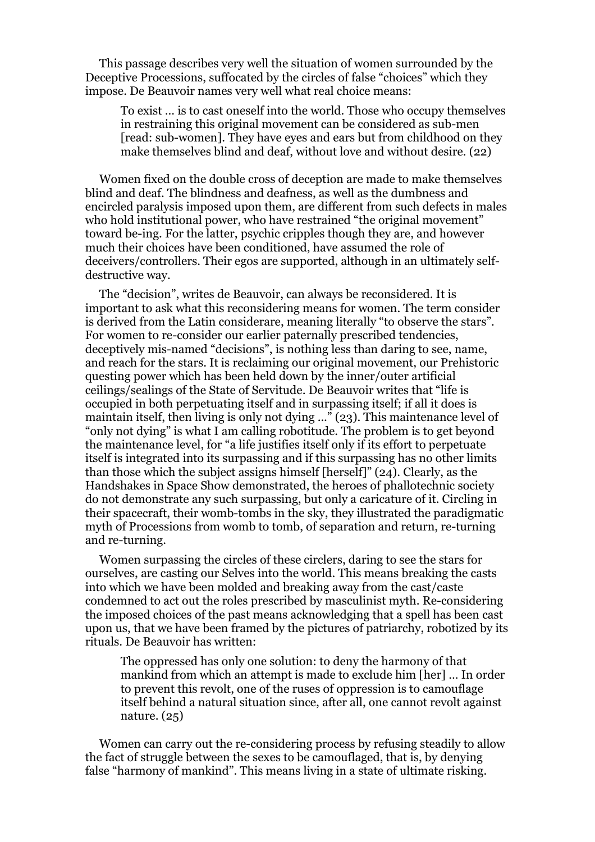This passage describes very well the situation of women surrounded by the Deceptive Processions, suffocated by the circles of false "choices" which they impose. De Beauvoir names very well what real choice means:

To exist … is to cast oneself into the world. Those who occupy themselves in restraining this original movement can be considered as sub-men [read: sub-women]. They have eyes and ears but from childhood on they make themselves blind and deaf, without love and without desire. (22)

Women fixed on the double cross of deception are made to make themselves blind and deaf. The blindness and deafness, as well as the dumbness and encircled paralysis imposed upon them, are different from such defects in males who hold institutional power, who have restrained "the original movement" toward be-ing. For the latter, psychic cripples though they are, and however much their choices have been conditioned, have assumed the role of deceivers/controllers. Their egos are supported, although in an ultimately selfdestructive way.

The "decision", writes de Beauvoir, can always be reconsidered. It is important to ask what this reconsidering means for women. The term consider is derived from the Latin considerare, meaning literally "to observe the stars". For women to re-consider our earlier paternally prescribed tendencies, deceptively mis-named "decisions", is nothing less than daring to see, name, and reach for the stars. It is reclaiming our original movement, our Prehistoric questing power which has been held down by the inner/outer artificial ceilings/sealings of the State of Servitude. De Beauvoir writes that "life is occupied in both perpetuating itself and in surpassing itself; if all it does is maintain itself, then living is only not dying ..." (23). This maintenance level of "only not dying" is what I am calling robotitude. The problem is to get beyond the maintenance level, for "a life justifies itself only if its effort to perpetuate itself is integrated into its surpassing and if this surpassing has no other limits than those which the subject assigns himself [herself]" (24). Clearly, as the Handshakes in Space Show demonstrated, the heroes of phallotechnic society do not demonstrate any such surpassing, but only a caricature of it. Circling in their spacecraft, their womb-tombs in the sky, they illustrated the paradigmatic myth of Processions from womb to tomb, of separation and return, re-turning and re-turning.

Women surpassing the circles of these circlers, daring to see the stars for ourselves, are casting our Selves into the world. This means breaking the casts into which we have been molded and breaking away from the cast/caste condemned to act out the roles prescribed by masculinist myth. Re-considering the imposed choices of the past means acknowledging that a spell has been cast upon us, that we have been framed by the pictures of patriarchy, robotized by its rituals. De Beauvoir has written:

The oppressed has only one solution: to deny the harmony of that mankind from which an attempt is made to exclude him [her] … In order to prevent this revolt, one of the ruses of oppression is to camouflage itself behind a natural situation since, after all, one cannot revolt against nature. (25)

Women can carry out the re-considering process by refusing steadily to allow the fact of struggle between the sexes to be camouflaged, that is, by denying false "harmony of mankind". This means living in a state of ultimate risking.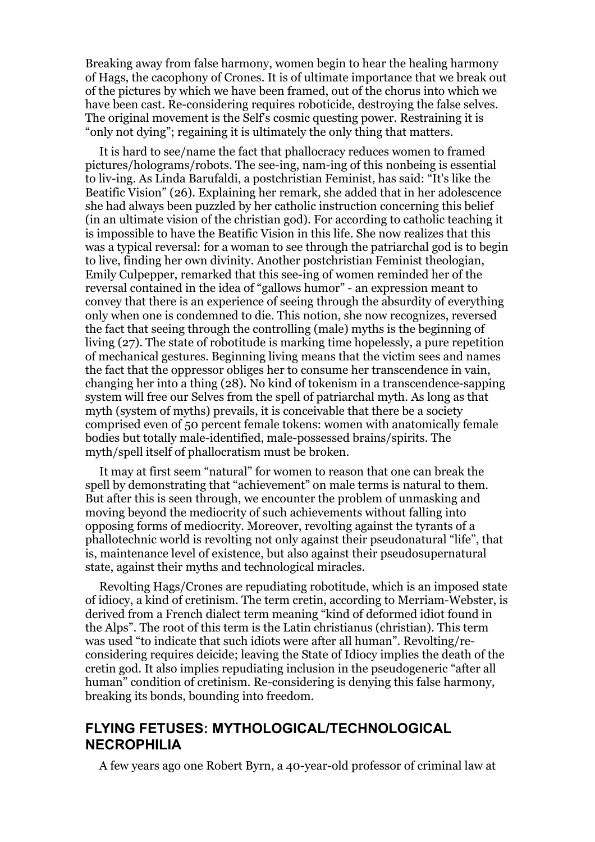Breaking away from false harmony, women begin to hear the healing harmony of Hags, the cacophony of Crones. It is of ultimate importance that we break out of the pictures by which we have been framed, out of the chorus into which we have been cast. Re-considering requires roboticide, destroying the false selves. The original movement is the Self's cosmic questing power. Restraining it is "only not dying"; regaining it is ultimately the only thing that matters.

It is hard to see/name the fact that phallocracy reduces women to framed pictures/holograms/robots. The see-ing, nam-ing of this nonbeing is essential to liv-ing. As Linda Barufaldi, a postchristian Feminist, has said: "It's like the Beatific Vision" (26). Explaining her remark, she added that in her adolescence she had always been puzzled by her catholic instruction concerning this belief (in an ultimate vision of the christian god). For according to catholic teaching it is impossible to have the Beatific Vision in this life. She now realizes that this was a typical reversal: for a woman to see through the patriarchal god is to begin to live, finding her own divinity. Another postchristian Feminist theologian, Emily Culpepper, remarked that this see-ing of women reminded her of the reversal contained in the idea of "gallows humor" - an expression meant to convey that there is an experience of seeing through the absurdity of everything only when one is condemned to die. This notion, she now recognizes, reversed the fact that seeing through the controlling (male) myths is the beginning of living (27). The state of robotitude is marking time hopelessly, a pure repetition of mechanical gestures. Beginning living means that the victim sees and names the fact that the oppressor obliges her to consume her transcendence in vain, changing her into a thing (28). No kind of tokenism in a transcendence-sapping system will free our Selves from the spell of patriarchal myth. As long as that myth (system of myths) prevails, it is conceivable that there be a society comprised even of 50 percent female tokens: women with anatomically female bodies but totally male-identified, male-possessed brains/spirits. The myth/spell itself of phallocratism must be broken.

It may at first seem "natural" for women to reason that one can break the spell by demonstrating that "achievement" on male terms is natural to them. But after this is seen through, we encounter the problem of unmasking and moving beyond the mediocrity of such achievements without falling into opposing forms of mediocrity. Moreover, revolting against the tyrants of a phallotechnic world is revolting not only against their pseudonatural "life", that is, maintenance level of existence, but also against their pseudosupernatural state, against their myths and technological miracles.

Revolting Hags/Crones are repudiating robotitude, which is an imposed state of idiocy, a kind of cretinism. The term cretin, according to Merriam-Webster, is derived from a French dialect term meaning "kind of deformed idiot found in the Alps". The root of this term is the Latin christianus (christian). This term was used "to indicate that such idiots were after all human". Revolting/reconsidering requires deicide; leaving the State of Idiocy implies the death of the cretin god. It also implies repudiating inclusion in the pseudogeneric "after all human" condition of cretinism. Re-considering is denying this false harmony, breaking its bonds, bounding into freedom.

## **FLYING FETUSES: MYTHOLOGICAL/TECHNOLOGICAL NECROPHILIA**

A few years ago one Robert Byrn, a 40-year-old professor of criminal law at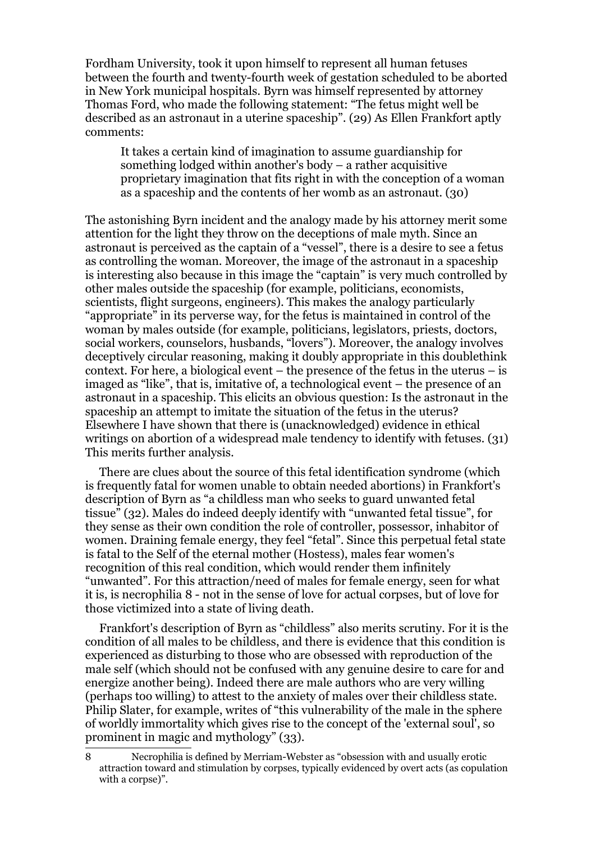Fordham University, took it upon himself to represent all human fetuses between the fourth and twenty-fourth week of gestation scheduled to be aborted in New York municipal hospitals. Byrn was himself represented by attorney Thomas Ford, who made the following statement: "The fetus might well be described as an astronaut in a uterine spaceship". (29) As Ellen Frankfort aptly comments:

It takes a certain kind of imagination to assume guardianship for something lodged within another's body – a rather acquisitive proprietary imagination that fits right in with the conception of a woman as a spaceship and the contents of her womb as an astronaut. (30)

The astonishing Byrn incident and the analogy made by his attorney merit some attention for the light they throw on the deceptions of male myth. Since an astronaut is perceived as the captain of a "vessel", there is a desire to see a fetus as controlling the woman. Moreover, the image of the astronaut in a spaceship is interesting also because in this image the "captain" is very much controlled by other males outside the spaceship (for example, politicians, economists, scientists, flight surgeons, engineers). This makes the analogy particularly "appropriate" in its perverse way, for the fetus is maintained in control of the woman by males outside (for example, politicians, legislators, priests, doctors, social workers, counselors, husbands, "lovers"). Moreover, the analogy involves deceptively circular reasoning, making it doubly appropriate in this doublethink context. For here, a biological event – the presence of the fetus in the uterus – is imaged as "like", that is, imitative of, a technological event – the presence of an astronaut in a spaceship. This elicits an obvious question: Is the astronaut in the spaceship an attempt to imitate the situation of the fetus in the uterus? Elsewhere I have shown that there is (unacknowledged) evidence in ethical writings on abortion of a widespread male tendency to identify with fetuses. (31) This merits further analysis.

There are clues about the source of this fetal identification syndrome (which is frequently fatal for women unable to obtain needed abortions) in Frankfort's description of Byrn as "a childless man who seeks to guard unwanted fetal tissue" (32). Males do indeed deeply identify with "unwanted fetal tissue", for they sense as their own condition the role of controller, possessor, inhabitor of women. Draining female energy, they feel "fetal". Since this perpetual fetal state is fatal to the Self of the eternal mother (Hostess), males fear women's recognition of this real condition, which would render them infinitely "unwanted". For this attraction/need of males for female energy, seen for what it is, is necrophilia [8](#page-41-0) - not in the sense of love for actual corpses, but of love for those victimized into a state of living death.

Frankfort's description of Byrn as "childless" also merits scrutiny. For it is the condition of all males to be childless, and there is evidence that this condition is experienced as disturbing to those who are obsessed with reproduction of the male self (which should not be confused with any genuine desire to care for and energize another being). Indeed there are male authors who are very willing (perhaps too willing) to attest to the anxiety of males over their childless state. Philip Slater, for example, writes of "this vulnerability of the male in the sphere of worldly immortality which gives rise to the concept of the 'external soul', so prominent in magic and mythology" (33).

<span id="page-41-0"></span><sup>8</sup> Necrophilia is defined by Merriam-Webster as "obsession with and usually erotic attraction toward and stimulation by corpses, typically evidenced by overt acts (as copulation with a corpse)".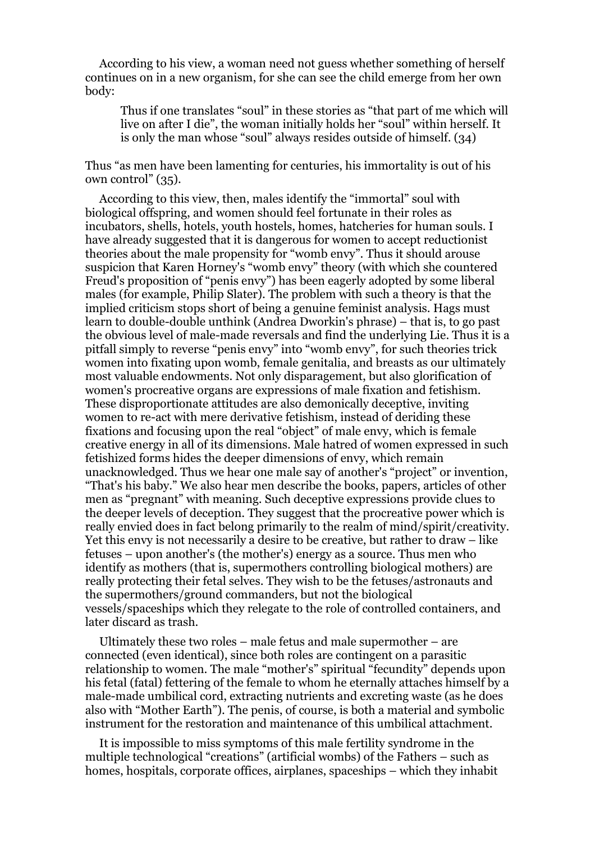According to his view, a woman need not guess whether something of herself continues on in a new organism, for she can see the child emerge from her own body:

Thus if one translates "soul" in these stories as "that part of me which will live on after I die", the woman initially holds her "soul" within herself. It is only the man whose "soul" always resides outside of himself. (34)

Thus "as men have been lamenting for centuries, his immortality is out of his own control" (35).

According to this view, then, males identify the "immortal" soul with biological offspring, and women should feel fortunate in their roles as incubators, shells, hotels, youth hostels, homes, hatcheries for human souls. I have already suggested that it is dangerous for women to accept reductionist theories about the male propensity for "womb envy". Thus it should arouse suspicion that Karen Horney's "womb envy" theory (with which she countered Freud's proposition of "penis envy") has been eagerly adopted by some liberal males (for example, Philip Slater). The problem with such a theory is that the implied criticism stops short of being a genuine feminist analysis. Hags must learn to double-double unthink (Andrea Dworkin's phrase) – that is, to go past the obvious level of male-made reversals and find the underlying Lie. Thus it is a pitfall simply to reverse "penis envy" into "womb envy", for such theories trick women into fixating upon womb, female genitalia, and breasts as our ultimately most valuable endowments. Not only disparagement, but also glorification of women's procreative organs are expressions of male fixation and fetishism. These disproportionate attitudes are also demonically deceptive, inviting women to re-act with mere derivative fetishism, instead of deriding these fixations and focusing upon the real "object" of male envy, which is female creative energy in all of its dimensions. Male hatred of women expressed in such fetishized forms hides the deeper dimensions of envy, which remain unacknowledged. Thus we hear one male say of another's "project" or invention, "That's his baby." We also hear men describe the books, papers, articles of other men as "pregnant" with meaning. Such deceptive expressions provide clues to the deeper levels of deception. They suggest that the procreative power which is really envied does in fact belong primarily to the realm of mind/spirit/creativity. Yet this envy is not necessarily a desire to be creative, but rather to draw – like fetuses – upon another's (the mother's) energy as a source. Thus men who identify as mothers (that is, supermothers controlling biological mothers) are really protecting their fetal selves. They wish to be the fetuses/astronauts and the supermothers/ground commanders, but not the biological vessels/spaceships which they relegate to the role of controlled containers, and later discard as trash.

Ultimately these two roles – male fetus and male supermother – are connected (even identical), since both roles are contingent on a parasitic relationship to women. The male "mother's" spiritual "fecundity" depends upon his fetal (fatal) fettering of the female to whom he eternally attaches himself by a male-made umbilical cord, extracting nutrients and excreting waste (as he does also with "Mother Earth"). The penis, of course, is both a material and symbolic instrument for the restoration and maintenance of this umbilical attachment.

It is impossible to miss symptoms of this male fertility syndrome in the multiple technological "creations" (artificial wombs) of the Fathers – such as homes, hospitals, corporate offices, airplanes, spaceships – which they inhabit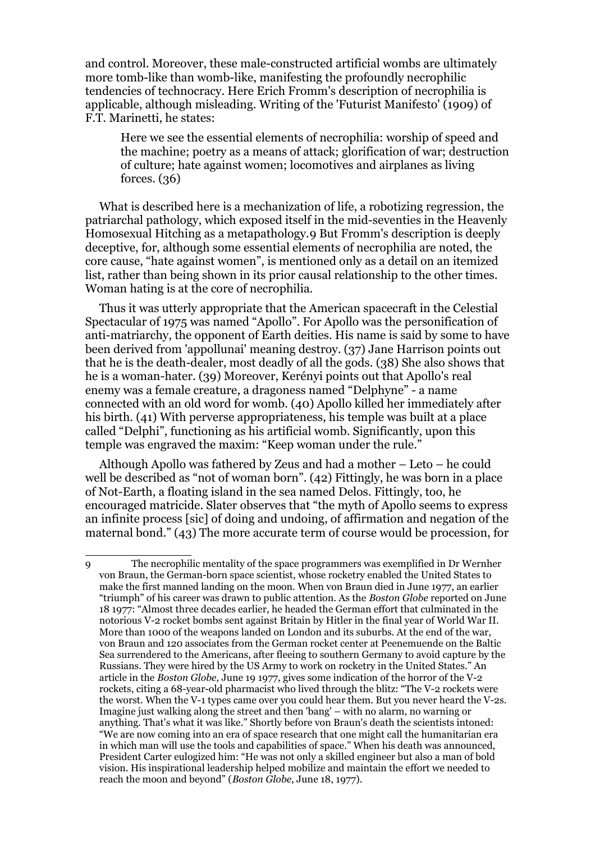and control. Moreover, these male-constructed artificial wombs are ultimately more tomb-like than womb-like, manifesting the profoundly necrophilic tendencies of technocracy. Here Erich Fromm's description of necrophilia is applicable, although misleading. Writing of the 'Futurist Manifesto' (1909) of F.T. Marinetti, he states:

Here we see the essential elements of necrophilia: worship of speed and the machine; poetry as a means of attack; glorification of war; destruction of culture; hate against women; locomotives and airplanes as living forces. (36)

What is described here is a mechanization of life, a robotizing regression, the patriarchal pathology, which exposed itself in the mid-seventies in the Heavenly Homosexual Hitching as a metapathology[.9](#page-43-0) But Fromm's description is deeply deceptive, for, although some essential elements of necrophilia are noted, the core cause, "hate against women", is mentioned only as a detail on an itemized list, rather than being shown in its prior causal relationship to the other times. Woman hating is at the core of necrophilia.

Thus it was utterly appropriate that the American spacecraft in the Celestial Spectacular of 1975 was named "Apollo". For Apollo was the personification of anti-matriarchy, the opponent of Earth deities. His name is said by some to have been derived from 'appollunai' meaning destroy. (37) Jane Harrison points out that he is the death-dealer, most deadly of all the gods. (38) She also shows that he is a woman-hater. (39) Moreover, Kerényi points out that Apollo's real enemy was a female creature, a dragoness named "Delphyne" - a name connected with an old word for womb. (40) Apollo killed her immediately after his birth. (41) With perverse appropriateness, his temple was built at a place called "Delphi", functioning as his artificial womb. Significantly, upon this temple was engraved the maxim: "Keep woman under the rule."

Although Apollo was fathered by Zeus and had a mother – Leto – he could well be described as "not of woman born". (42) Fittingly, he was born in a place of Not-Earth, a floating island in the sea named Delos. Fittingly, too, he encouraged matricide. Slater observes that "the myth of Apollo seems to express an infinite process [sic] of doing and undoing, of affirmation and negation of the maternal bond." (43) The more accurate term of course would be procession, for

<span id="page-43-0"></span><sup>9</sup> The necrophilic mentality of the space programmers was exemplified in Dr Wernher von Braun, the German-born space scientist, whose rocketry enabled the United States to make the first manned landing on the moon. When von Braun died in June 1977, an earlier "triumph" of his career was drawn to public attention. As the *Boston Globe* reported on June 18 1977: "Almost three decades earlier, he headed the German effort that culminated in the notorious V-2 rocket bombs sent against Britain by Hitler in the final year of World War II. More than 1000 of the weapons landed on London and its suburbs. At the end of the war, von Braun and 120 associates from the German rocket center at Peenemuende on the Baltic Sea surrendered to the Americans, after fleeing to southern Germany to avoid capture by the Russians. They were hired by the US Army to work on rocketry in the United States." An article in the *Boston Globe,* June 19 1977, gives some indication of the horror of the V-2 rockets, citing a 68-year-old pharmacist who lived through the blitz: "The V-2 rockets were the worst. When the V-1 types came over you could hear them. But you never heard the V-2s. Imagine just walking along the street and then 'bang' – with no alarm, no warning or anything. That's what it was like." Shortly before von Braun's death the scientists intoned: "We are now coming into an era of space research that one might call the humanitarian era in which man will use the tools and capabilities of space." When his death was announced, President Carter eulogized him: "He was not only a skilled engineer but also a man of bold vision. His inspirational leadership helped mobilize and maintain the effort we needed to reach the moon and beyond" (*Boston Globe*, June 18, 1977).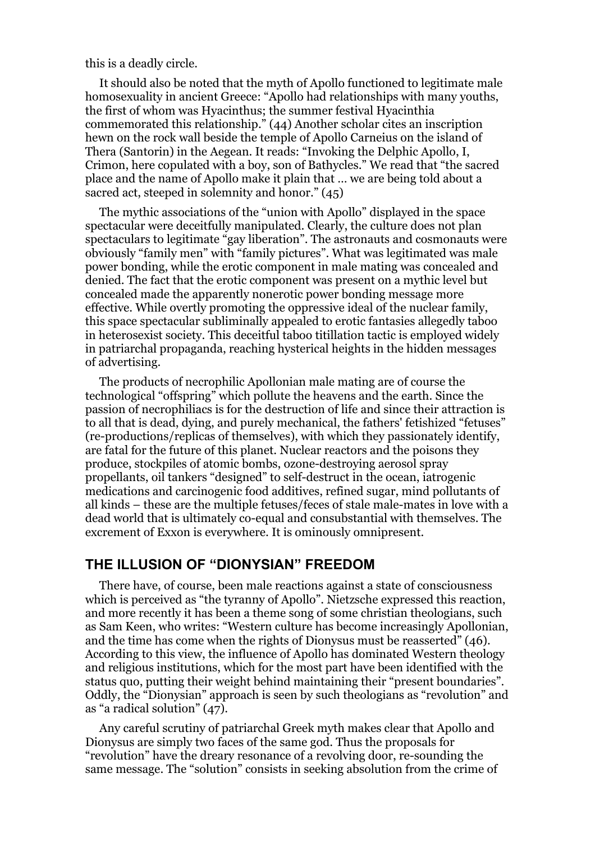this is a deadly circle.

It should also be noted that the myth of Apollo functioned to legitimate male homosexuality in ancient Greece: "Apollo had relationships with many youths, the first of whom was Hyacinthus; the summer festival Hyacinthia commemorated this relationship." (44) Another scholar cites an inscription hewn on the rock wall beside the temple of Apollo Carneius on the island of Thera (Santorin) in the Aegean. It reads: "Invoking the Delphic Apollo, I, Crimon, here copulated with a boy, son of Bathycles." We read that "the sacred place and the name of Apollo make it plain that … we are being told about a sacred act, steeped in solemnity and honor." (45)

The mythic associations of the "union with Apollo" displayed in the space spectacular were deceitfully manipulated. Clearly, the culture does not plan spectaculars to legitimate "gay liberation". The astronauts and cosmonauts were obviously "family men" with "family pictures". What was legitimated was male power bonding, while the erotic component in male mating was concealed and denied. The fact that the erotic component was present on a mythic level but concealed made the apparently nonerotic power bonding message more effective. While overtly promoting the oppressive ideal of the nuclear family, this space spectacular subliminally appealed to erotic fantasies allegedly taboo in heterosexist society. This deceitful taboo titillation tactic is employed widely in patriarchal propaganda, reaching hysterical heights in the hidden messages of advertising.

The products of necrophilic Apollonian male mating are of course the technological "offspring" which pollute the heavens and the earth. Since the passion of necrophiliacs is for the destruction of life and since their attraction is to all that is dead, dying, and purely mechanical, the fathers' fetishized "fetuses" (re-productions/replicas of themselves), with which they passionately identify, are fatal for the future of this planet. Nuclear reactors and the poisons they produce, stockpiles of atomic bombs, ozone-destroying aerosol spray propellants, oil tankers "designed" to self-destruct in the ocean, iatrogenic medications and carcinogenic food additives, refined sugar, mind pollutants of all kinds – these are the multiple fetuses/feces of stale male-mates in love with a dead world that is ultimately co-equal and consubstantial with themselves. The excrement of Exxon is everywhere. It is ominously omnipresent.

### **THE ILLUSION OF "DIONYSIAN" FREEDOM**

There have, of course, been male reactions against a state of consciousness which is perceived as "the tyranny of Apollo". Nietzsche expressed this reaction, and more recently it has been a theme song of some christian theologians, such as Sam Keen, who writes: "Western culture has become increasingly Apollonian, and the time has come when the rights of Dionysus must be reasserted" (46). According to this view, the influence of Apollo has dominated Western theology and religious institutions, which for the most part have been identified with the status quo, putting their weight behind maintaining their "present boundaries". Oddly, the "Dionysian" approach is seen by such theologians as "revolution" and as "a radical solution" (47).

Any careful scrutiny of patriarchal Greek myth makes clear that Apollo and Dionysus are simply two faces of the same god. Thus the proposals for "revolution" have the dreary resonance of a revolving door, re-sounding the same message. The "solution" consists in seeking absolution from the crime of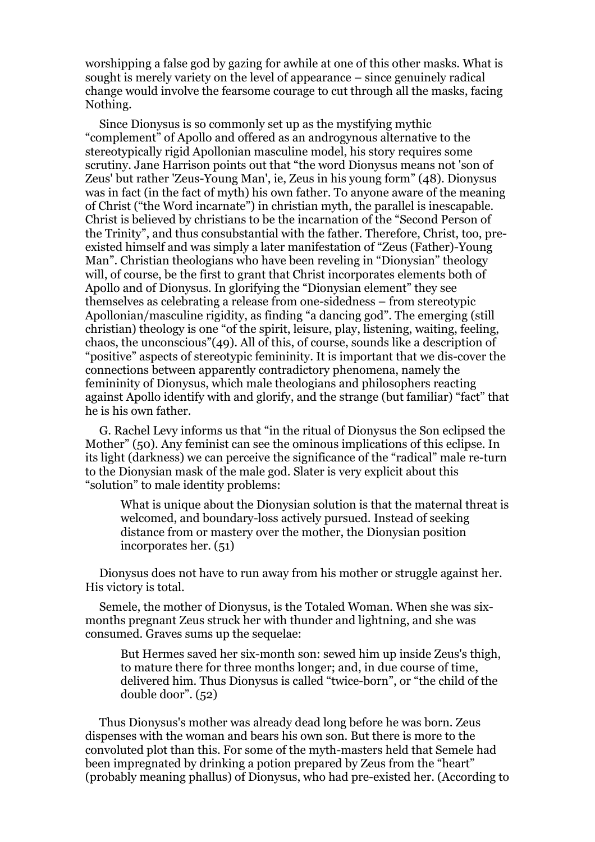worshipping a false god by gazing for awhile at one of this other masks. What is sought is merely variety on the level of appearance – since genuinely radical change would involve the fearsome courage to cut through all the masks, facing Nothing.

Since Dionysus is so commonly set up as the mystifying mythic "complement" of Apollo and offered as an androgynous alternative to the stereotypically rigid Apollonian masculine model, his story requires some scrutiny. Jane Harrison points out that "the word Dionysus means not 'son of Zeus' but rather 'Zeus-Young Man', ie, Zeus in his young form" (48). Dionysus was in fact (in the fact of myth) his own father. To anyone aware of the meaning of Christ ("the Word incarnate") in christian myth, the parallel is inescapable. Christ is believed by christians to be the incarnation of the "Second Person of the Trinity", and thus consubstantial with the father. Therefore, Christ, too, preexisted himself and was simply a later manifestation of "Zeus (Father)-Young Man". Christian theologians who have been reveling in "Dionysian" theology will, of course, be the first to grant that Christ incorporates elements both of Apollo and of Dionysus. In glorifying the "Dionysian element" they see themselves as celebrating a release from one-sidedness – from stereotypic Apollonian/masculine rigidity, as finding "a dancing god". The emerging (still christian) theology is one "of the spirit, leisure, play, listening, waiting, feeling, chaos, the unconscious"(49). All of this, of course, sounds like a description of "positive" aspects of stereotypic femininity. It is important that we dis-cover the connections between apparently contradictory phenomena, namely the femininity of Dionysus, which male theologians and philosophers reacting against Apollo identify with and glorify, and the strange (but familiar) "fact" that he is his own father.

G. Rachel Levy informs us that "in the ritual of Dionysus the Son eclipsed the Mother" (50). Any feminist can see the ominous implications of this eclipse. In its light (darkness) we can perceive the significance of the "radical" male re-turn to the Dionysian mask of the male god. Slater is very explicit about this "solution" to male identity problems:

What is unique about the Dionysian solution is that the maternal threat is welcomed, and boundary-loss actively pursued. Instead of seeking distance from or mastery over the mother, the Dionysian position incorporates her. (51)

Dionysus does not have to run away from his mother or struggle against her. His victory is total.

Semele, the mother of Dionysus, is the Totaled Woman. When she was sixmonths pregnant Zeus struck her with thunder and lightning, and she was consumed. Graves sums up the sequelae:

But Hermes saved her six-month son: sewed him up inside Zeus's thigh, to mature there for three months longer; and, in due course of time, delivered him. Thus Dionysus is called "twice-born", or "the child of the double door". (52)

Thus Dionysus's mother was already dead long before he was born. Zeus dispenses with the woman and bears his own son. But there is more to the convoluted plot than this. For some of the myth-masters held that Semele had been impregnated by drinking a potion prepared by Zeus from the "heart" (probably meaning phallus) of Dionysus, who had pre-existed her. (According to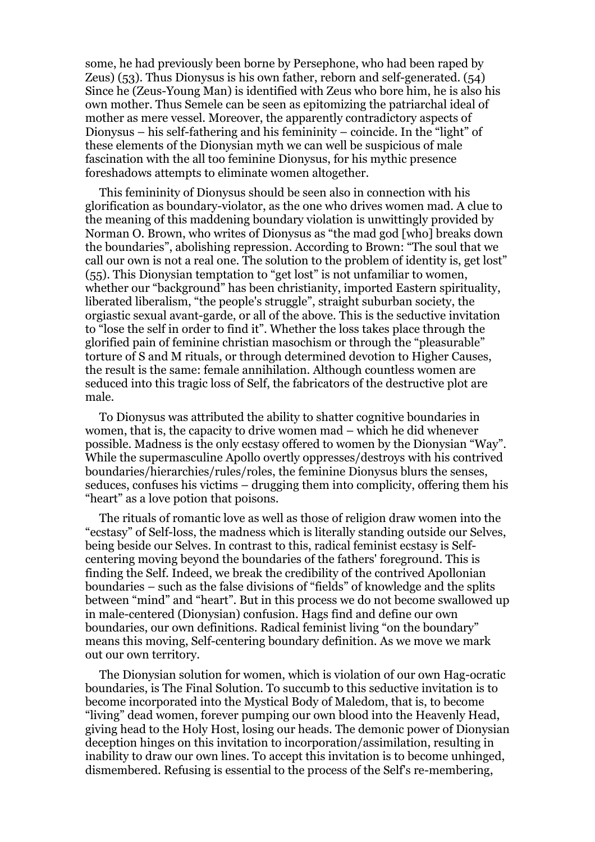some, he had previously been borne by Persephone, who had been raped by Zeus) (53). Thus Dionysus is his own father, reborn and self-generated. (54) Since he (Zeus-Young Man) is identified with Zeus who bore him, he is also his own mother. Thus Semele can be seen as epitomizing the patriarchal ideal of mother as mere vessel. Moreover, the apparently contradictory aspects of Dionysus – his self-fathering and his femininity – coincide. In the "light" of these elements of the Dionysian myth we can well be suspicious of male fascination with the all too feminine Dionysus, for his mythic presence foreshadows attempts to eliminate women altogether.

This femininity of Dionysus should be seen also in connection with his glorification as boundary-violator, as the one who drives women mad. A clue to the meaning of this maddening boundary violation is unwittingly provided by Norman O. Brown, who writes of Dionysus as "the mad god [who] breaks down the boundaries", abolishing repression. According to Brown: "The soul that we call our own is not a real one. The solution to the problem of identity is, get lost" (55). This Dionysian temptation to "get lost" is not unfamiliar to women, whether our "background" has been christianity, imported Eastern spirituality, liberated liberalism, "the people's struggle", straight suburban society, the orgiastic sexual avant-garde, or all of the above. This is the seductive invitation to "lose the self in order to find it". Whether the loss takes place through the glorified pain of feminine christian masochism or through the "pleasurable" torture of S and M rituals, or through determined devotion to Higher Causes, the result is the same: female annihilation. Although countless women are seduced into this tragic loss of Self, the fabricators of the destructive plot are male.

To Dionysus was attributed the ability to shatter cognitive boundaries in women, that is, the capacity to drive women mad – which he did whenever possible. Madness is the only ecstasy offered to women by the Dionysian "Way". While the supermasculine Apollo overtly oppresses/destroys with his contrived boundaries/hierarchies/rules/roles, the feminine Dionysus blurs the senses, seduces, confuses his victims – drugging them into complicity, offering them his "heart" as a love potion that poisons.

The rituals of romantic love as well as those of religion draw women into the "ecstasy" of Self-loss, the madness which is literally standing outside our Selves, being beside our Selves. In contrast to this, radical feminist ecstasy is Selfcentering moving beyond the boundaries of the fathers' foreground. This is finding the Self. Indeed, we break the credibility of the contrived Apollonian boundaries – such as the false divisions of "fields" of knowledge and the splits between "mind" and "heart". But in this process we do not become swallowed up in male-centered (Dionysian) confusion. Hags find and define our own boundaries, our own definitions. Radical feminist living "on the boundary" means this moving, Self-centering boundary definition. As we move we mark out our own territory.

The Dionysian solution for women, which is violation of our own Hag-ocratic boundaries, is The Final Solution. To succumb to this seductive invitation is to become incorporated into the Mystical Body of Maledom, that is, to become "living" dead women, forever pumping our own blood into the Heavenly Head, giving head to the Holy Host, losing our heads. The demonic power of Dionysian deception hinges on this invitation to incorporation/assimilation, resulting in inability to draw our own lines. To accept this invitation is to become unhinged, dismembered. Refusing is essential to the process of the Self's re-membering,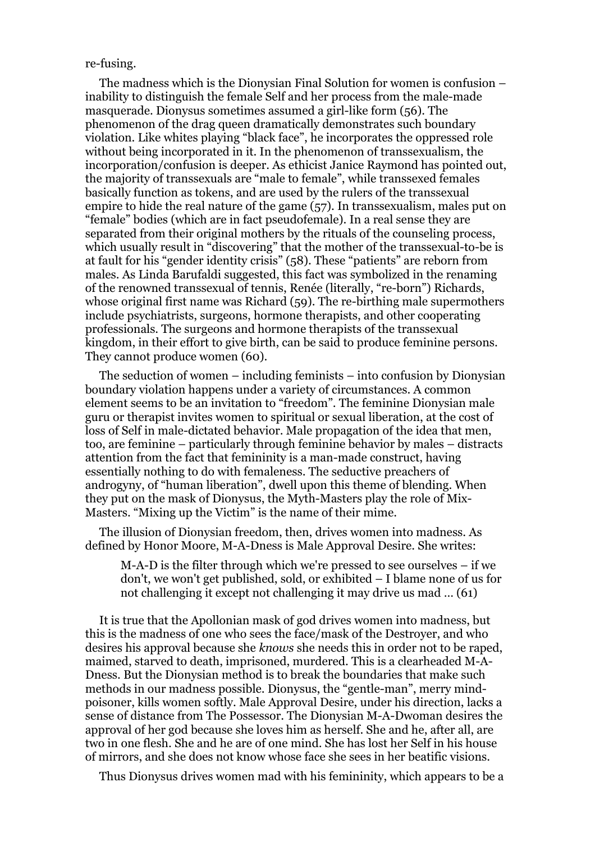re-fusing.

The madness which is the Dionysian Final Solution for women is confusion – inability to distinguish the female Self and her process from the male-made masquerade. Dionysus sometimes assumed a girl-like form (56). The phenomenon of the drag queen dramatically demonstrates such boundary violation. Like whites playing "black face", he incorporates the oppressed role without being incorporated in it. In the phenomenon of transsexualism, the incorporation/confusion is deeper. As ethicist Janice Raymond has pointed out, the majority of transsexuals are "male to female", while transsexed females basically function as tokens, and are used by the rulers of the transsexual empire to hide the real nature of the game (57). In transsexualism, males put on "female" bodies (which are in fact pseudofemale). In a real sense they are separated from their original mothers by the rituals of the counseling process, which usually result in "discovering" that the mother of the transsexual-to-be is at fault for his "gender identity crisis" (58). These "patients" are reborn from males. As Linda Barufaldi suggested, this fact was symbolized in the renaming of the renowned transsexual of tennis, Renée (literally, "re-born") Richards, whose original first name was Richard (59). The re-birthing male supermothers include psychiatrists, surgeons, hormone therapists, and other cooperating professionals. The surgeons and hormone therapists of the transsexual kingdom, in their effort to give birth, can be said to produce feminine persons. They cannot produce women (60).

The seduction of women – including feminists – into confusion by Dionysian boundary violation happens under a variety of circumstances. A common element seems to be an invitation to "freedom". The feminine Dionysian male guru or therapist invites women to spiritual or sexual liberation, at the cost of loss of Self in male-dictated behavior. Male propagation of the idea that men, too, are feminine – particularly through feminine behavior by males – distracts attention from the fact that femininity is a man-made construct, having essentially nothing to do with femaleness. The seductive preachers of androgyny, of "human liberation", dwell upon this theme of blending. When they put on the mask of Dionysus, the Myth-Masters play the role of Mix-Masters. "Mixing up the Victim" is the name of their mime.

The illusion of Dionysian freedom, then, drives women into madness. As defined by Honor Moore, M-A-Dness is Male Approval Desire. She writes:

M-A-D is the filter through which we're pressed to see ourselves – if we don't, we won't get published, sold, or exhibited – I blame none of us for not challenging it except not challenging it may drive us mad … (61)

It is true that the Apollonian mask of god drives women into madness, but this is the madness of one who sees the face/mask of the Destroyer, and who desires his approval because she *knows* she needs this in order not to be raped, maimed, starved to death, imprisoned, murdered. This is a clearheaded M-A-Dness. But the Dionysian method is to break the boundaries that make such methods in our madness possible. Dionysus, the "gentle-man", merry mindpoisoner, kills women softly. Male Approval Desire, under his direction, lacks a sense of distance from The Possessor. The Dionysian M-A-Dwoman desires the approval of her god because she loves him as herself. She and he, after all, are two in one flesh. She and he are of one mind. She has lost her Self in his house of mirrors, and she does not know whose face she sees in her beatific visions.

Thus Dionysus drives women mad with his femininity, which appears to be a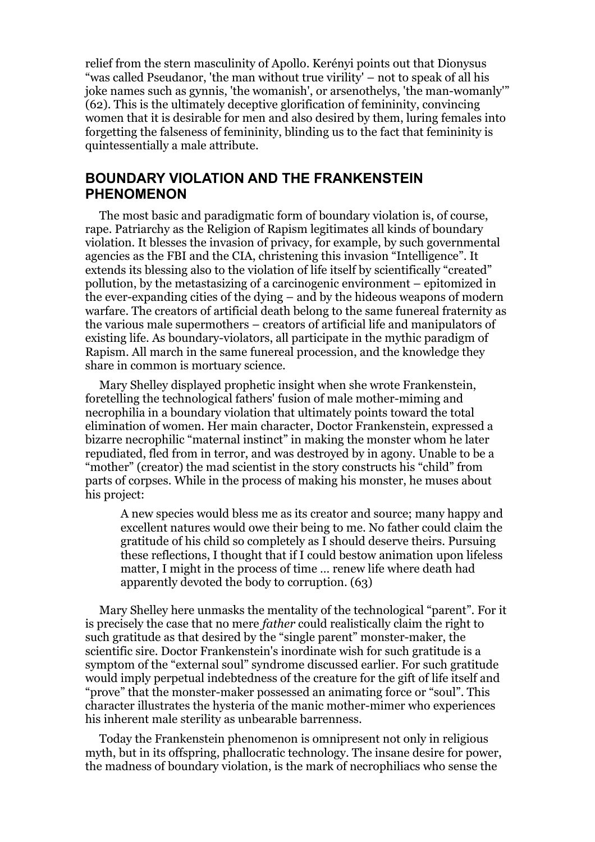relief from the stern masculinity of Apollo. Kerényi points out that Dionysus "was called Pseudanor, 'the man without true virility' – not to speak of all his joke names such as gynnis, 'the womanish', or arsenothelys, 'the man-womanly'" (62). This is the ultimately deceptive glorification of femininity, convincing women that it is desirable for men and also desired by them, luring females into forgetting the falseness of femininity, blinding us to the fact that femininity is quintessentially a male attribute.

## **BOUNDARY VIOLATION AND THE FRANKENSTEIN PHENOMENON**

The most basic and paradigmatic form of boundary violation is, of course, rape. Patriarchy as the Religion of Rapism legitimates all kinds of boundary violation. It blesses the invasion of privacy, for example, by such governmental agencies as the FBI and the CIA, christening this invasion "Intelligence". It extends its blessing also to the violation of life itself by scientifically "created" pollution, by the metastasizing of a carcinogenic environment – epitomized in the ever-expanding cities of the dying – and by the hideous weapons of modern warfare. The creators of artificial death belong to the same funereal fraternity as the various male supermothers – creators of artificial life and manipulators of existing life. As boundary-violators, all participate in the mythic paradigm of Rapism. All march in the same funereal procession, and the knowledge they share in common is mortuary science.

Mary Shelley displayed prophetic insight when she wrote Frankenstein, foretelling the technological fathers' fusion of male mother-miming and necrophilia in a boundary violation that ultimately points toward the total elimination of women. Her main character, Doctor Frankenstein, expressed a bizarre necrophilic "maternal instinct" in making the monster whom he later repudiated, fled from in terror, and was destroyed by in agony. Unable to be a "mother" (creator) the mad scientist in the story constructs his "child" from parts of corpses. While in the process of making his monster, he muses about his project:

A new species would bless me as its creator and source; many happy and excellent natures would owe their being to me. No father could claim the gratitude of his child so completely as I should deserve theirs. Pursuing these reflections, I thought that if I could bestow animation upon lifeless matter, I might in the process of time … renew life where death had apparently devoted the body to corruption. (63)

Mary Shelley here unmasks the mentality of the technological "parent". For it is precisely the case that no mere *father* could realistically claim the right to such gratitude as that desired by the "single parent" monster-maker, the scientific sire. Doctor Frankenstein's inordinate wish for such gratitude is a symptom of the "external soul" syndrome discussed earlier. For such gratitude would imply perpetual indebtedness of the creature for the gift of life itself and "prove" that the monster-maker possessed an animating force or "soul". This character illustrates the hysteria of the manic mother-mimer who experiences his inherent male sterility as unbearable barrenness.

Today the Frankenstein phenomenon is omnipresent not only in religious myth, but in its offspring, phallocratic technology. The insane desire for power, the madness of boundary violation, is the mark of necrophiliacs who sense the